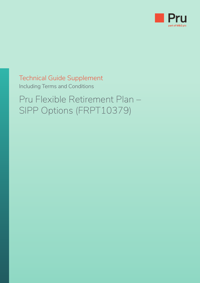

# Technical Guide Supplement Including Terms and Conditions

Pru Flexible Retirement Plan – SIPP Options (FRPT10379)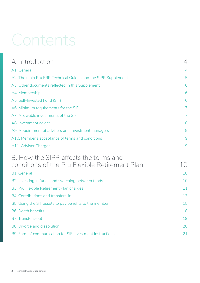# Contents

| A. Introduction                                               | 4  |
|---------------------------------------------------------------|----|
| A1. General                                                   | 4  |
| A2. The main Pru FRP Technical Guides and the SIPP Supplement | 5  |
| A3. Other documents reflected in this Supplement              | 6  |
| A4. Membership                                                | 6  |
| A5. Self-Invested Fund (SIF)                                  | 6  |
| A6. Minimum requirements for the SIF                          | 7  |
| A7. Allowable investments of the SIF                          | 7  |
| A8. Investment advice                                         | 8  |
| A9. Appointment of advisers and investment managers           | 9  |
| A10. Member's acceptance of terms and conditions              | 9  |
| A11. Adviser Charges                                          | 9  |
| B. How the SIPP affects the terms and                         |    |
| conditions of the Pru Flexible Retirement Plan                | 10 |
| <b>B1.</b> General                                            | 10 |
| B2. Investing in funds and switching between funds            | 10 |
| B3. Pru Flexible Retirement Plan charges                      | 11 |
| B4. Contributions and transfers-in                            | 13 |
| B5. Using the SIF assets to pay benefits to the member        | 15 |
| <b>B6. Death benefits</b>                                     | 18 |
| B7. Transfers-out                                             | 19 |
| <b>B8. Divorce and dissolution</b>                            | 20 |
| B9. Form of communication for SIF investment instructions     | 21 |
|                                                               |    |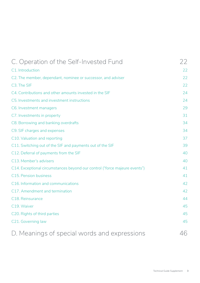| C. Operation of the Self-Invested Fund                                     | 22 |
|----------------------------------------------------------------------------|----|
| C1. Introduction                                                           | 22 |
| C2. The member, dependant, nominee or successor, and adviser               | 22 |
| C3. The SIF                                                                | 22 |
| C4. Contributions and other amounts invested in the SIF                    | 24 |
| C5. Investments and investment instructions                                | 24 |
| C6. Investment managers                                                    | 29 |
| C7. Investments in property                                                | 31 |
| C8. Borrowing and banking overdrafts                                       | 34 |
| C9. SIF charges and expenses                                               | 34 |
| C10. Valuation and reporting                                               | 37 |
| C11. Switching out of the SIF and payments out of the SIF                  | 39 |
| C12. Deferral of payments from the SIF                                     | 40 |
| C13. Member's advisers                                                     | 40 |
| C14. Exceptional circumstances beyond our control ("force majeure events") | 41 |
| C15. Pension business                                                      | 41 |
| C16. Information and communications                                        | 42 |
| C17. Amendment and termination                                             | 42 |
| C18. Reinsurance                                                           | 44 |
| C19. Waiver                                                                | 45 |
| C20. Rights of third parties                                               | 45 |
| C21. Governing law                                                         | 45 |
| D. Meanings of special words and expressions                               | 46 |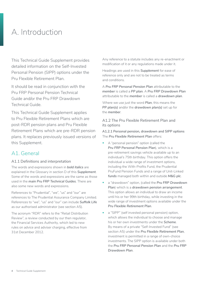# <span id="page-3-0"></span>A. Introduction

This Technical Guide Supplement provides detailed information on the Self-Invested Personal Pension (SIPP) options under the Pru Flexible Retirement Plan.

It should be read in conjunction with the Pru FRP Personal Pension Technical Guide and/or the Pru FRP Drawdown Technical Guide.

This Technical Guide Supplement applies to Pru Flexible Retirement Plans which are post-RDR pension plans and Pru Flexible Retirement Plans which are pre-RDR pension plans. It replaces previously issued versions of this Supplement.

# A1 General

#### A1.1 Definitions and interpretation

The words and expressions shown in *bold italics* are explained in the Glossary in section D of this *Supplement*. Some of the words and expressions are the same as those used in the *main Pru FRP Technical Guides*. There are also some new words and expressions.

References to "Prudential", "we", "us" and "our" are references to The Prudential Assurance Company Limited. References to "we", "us" and "our" can include *Suffolk Life*  as our authorised administrator (see section A5).

The acronym "RDR" refers to the "Retail Distribution Review", a review conducted by our then regulator, the Financial Services Authority, which led to new rules on advice and adviser charging, effective from 31st December 2012.

Any reference to a statute includes any re-enactment or modification of it or any regulations made under it.

Headings are used in this *Supplement* for ease of reference only and are not to be treated as terms and conditions.

A *Pru FRP Personal Pension Plan* attributable to the *member* is called a *PP plan*. A *Pru FRP Drawdown Plan*  attributable to the *member* is called a *drawdown plan*.

Where we use just the word *Plan*, this means the *PP plan(s)* and/or the *drawdown plan(s)* set up for the *member*.

#### A1.2 The Pru Flexible Retirement Plan and its options

**A1.2.1 Personal pension, drawdown and SIPP options** The *Pru Flexible Retirement Plan* offers:

- A "personal pension" option (called the *Pru FRP Personal Pension Plan*), which is a pre-retirement savings vehicle available up to an individual's 75th birthday. This option offers the individual a wide range of investment options, including the With-Profits Fund, the Prudential PruFund Pension Funds and a range of Unit-Linked *funds* managed both within and outside *M&G plc*.
- a "drawdown" option, (called the *Pru FRP Drawdown Plan*) which is a *drawdown pension arrangement*. This option allows an individual to draw an income until his or her 99th birthday, while investing in the wide range of investment options available under the *Pru Flexible Retirement Plan*.
- a "SIPP" (self invested personal pension) option, which allows the individual to choose and manage his or her own investments under the *Scheme*. By means of a private "Self-Invested Fund" (see section A5) under the *Pru Flexible Retirement Plan*, investment is permitted in a range of own-choice investments. The SIPP option is available under both the *Pru FRP Personal Pension Plan* and the *Pru FRP Drawdown Plan*.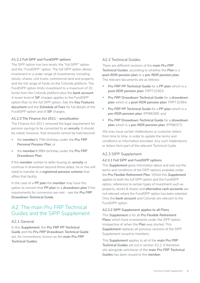#### <span id="page-4-0"></span>**A1.2.2 Full SIPP and FundSIPP options**

The SIPP option has two levels: the "full SIPP" option and the "FundSIPP" option. The full SIPP option allows investment in a wider range of investments, including stocks, shares, unit trusts, commercial land and property and the full range of funds on the Cofunds platform. The FundSIPP option limits investment to a maximum of 20 funds from the Cofunds platform plus the *bank account*. A lower level of *SIF* charges applies to the FundSIPP option than to the full SIPP option. See the *Key Features document* and the *Schedule of Fees* for full details of the FundSIPP option and of *SIF* charges.

#### **A1.2.3 The Finance Act 2011 – annuitisation**

The Finance Act 2011 removed the legal requirement for pension savings to be converted to an *annuity*. It should be noted, however, that amounts cannot be held beyond:

- the *member's* 75th birthday under the *Pru FRP Personal Pension Plan*; or
- the *member's* 99th birthday under the *Pru FRP Drawdown Plan*.

If the *member* wishes to defer buying an *annuity* or continue in drawdown beyond these dates, he or she will need to transfer to a *registered pension scheme* that offers that facility.

In the case of a *PP plan* the *member* may have the option to convert that *PP plan* to a *drawdown plan* if the requirements for conversion are met – see the *Pru FRP Drawdown Technical Guide*.

# A2. The main Pru FRP Technical Guides and the SIPP Supplement

#### A2.1 General

In this *Supplement*, the *Pru FRP PP Technical Guide* and the *Pru FRP Drawdown Technical Guide*  are, for convenience, known as the *main Pru FRP Technical Guides*.

#### A2.2 Technical Guides

There are different versions of the *main Pru FRP Technical Guides*, according to whether the *Plan* is a *post-RDR pension plan* or a *pre-RDR pension plan*. The relevant documents are as follows:

- *Pru FRP PP Technical Guide* for a *PP plan* which is a *post-RDR pension plan*: FRPT10363;
- *Pru FRP Drawdown Technical Guide* for a *drawdown plan* which is a *post-RDR pension plan*: FRPT10364;
- *Pru FRP PP Technical Guide* for a *PP plan* which is a *pre-RDR pension plan*: IPPB6369; and
- *Pru FRP Drawdown Technical Guide* for a *drawdown plan* which is a *pre-RDR pension plan*: IPPB6373.

We may issue certain Addendums or customer letters from time to time, in order to update the terms and conditions or information provided. Any such Addendums or letters form part of the relevant Technical Guide.

#### A2.3 SIPP Supplement

#### **A2.3.1 Full SIPP and FundSIPP options**

This *Supplement* gives information about and sets out the terms and conditions of the SIPP options available under the *Pru Flexible Retirement Plan*. Whilst this *Supplement*  applies to both the full SIPP option and the FundSIPP option, references to certain types of investment such as property, stocks & shares and *alternative cash accounts* are not relevant where the FundSIPP option has been selected. Only the *bank account* and Cofunds are relevant to the FundSIPP option.

**A2.3.2 SIPP Supplement applies to all Plans** This *Supplement* is for all *Pru Flexible Retirement Plans* which have investments under the SIPP option, irrespective of when the *Plan* was started. This *Supplement* replaces all previous versions of the SIPP Supplement issued to members.

This *Supplement* applies to all of the *main Pru FRP Technical Guides* set out in section A2.2. It therefore sits alongside whichever of the *main Pru FRP Technical Guides* has been issued to the *member*.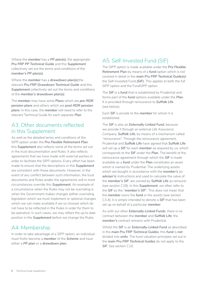<span id="page-5-0"></span>Where the *member* has a *PP plan(s)*, the appropriate *Pru FRP PP Technical Guide* and this *Supplement*  collectively set out the terms and conditions of the *member's PP plan(s)*.

Where the *member* has a *drawdown plan(s)*,the relevant *Pru FRP Drawdown Technical Guide* and this *Supplement* collectively set out the terms and conditions of the *member's drawdown plan(s)*.

The *member* may have some *Plans* which are *pre-RDR pension plans* and others which are *post-RDR pension plans*. In this case, the *member* will need to refer to the relevant Technical Guide for each separate *Plan*.

# A3. Other documents reflected in this Supplement

As well as the detailed terms and conditions of the SIPP option under the *Pru Flexible Retirement Plan*, this *Supplement* also reflects some of the terms set out in the trust documentation and Rules. It also reflects agreements that we have made with external parties in order to facilitate the SIPP options. Every effort has been made to ensure that the descriptions in this *Supplement*  are consistent with those documents. However, in the event of any conflict between such information, the trust documents and Rules and/or the agreements will in most circumstances override this *Supplement*. An example of a circumstance when the Rules may not be overriding is when the Government makes changes (either overriding legislation which we must implement or optional changes which we can make available if we so choose) which do not have to be reflected in the Rules in order for them to be operative: in such cases, we may reflect the up to date position in the *Supplement* before we change the Rules.

# A4. Membership

In order to take advantage of a SIPP option, an individual must firstly become a *member* of the *Scheme* and have either a *PP plan* or a *drawdown plan*.

# A5. Self-Invested Fund (SIF)

The SIPP option is made available under the *Pru Flexible Retirement Plan* by means of a *fund* option which is not covered in detail in the *main Pru FRP Technical Guide(s)*: the Self-Invested Fund *(SIF)*. This applies to both the full SIPP option and the FundSIPP option.

The *SIF* is a *fund* that is established by Prudential and forms part of the *fund* options available under the *Plan*. It is provided through reinsurance to *Suffolk Life*  (see below).

Each *SIF* is private to the *member* for whom it is established.

The *SIF* is also an *Externally-Linked Fund*, because we provide it through an external Life Assurance Company, *Suffolk Life*, by means of a mechanism called "reinsurance". Through the reinsurance agreement, Prudential and *Suffolk Life* have agreed that *Suffolk Life*  will set up a *SIF* for each *member* as required by us, which corresponds to the *SIF* under the *Plan*. The benefit of the reinsurance agreement through which the *SIF* is made available as a *fund* under the *Plan* constitutes an asset which is owned by Prudential. The underlying assets which are bought in accordance with the *member's* (or *adviser's*) instructions and used to calculate the value of the *member's SIF*, are owned by *Suffolk Life* as reinsurer (see section C18). In this *Supplement*, we often refer to the *SIF* as the "*member's SIF*". This does not mean that the *member* owns the *fund* or the assets (see section C3.4); it is simply intended to denote a *SIF* that has been set up on behalf of a particular *member*.

As with our other *Externally-Linked Funds*, there is no contract between the *member* and *Suffolk Life*: the *member's* contract remains with Prudential.

Whilst the *SIF* is an *Externally-Linked Fund* as described in the *main Pru FRP Technical Guides*, this *fund* is *not*  divided into *units*. The fund valuation principles set out in the *main Pru FRP Technical Guides* do not apply to the *SIF*. See section C10.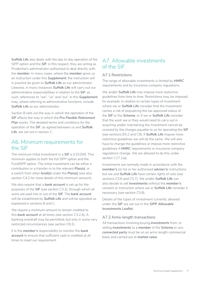<span id="page-6-0"></span>*Suffolk Life* also deals with the day to day operation of the SIPP option and the *SIF*: in this respect, they are acting as Prudential's administrator authorised to deal directly with the *member*. In many cases, where the *member* gives us an instruction under this *Supplement*, the instruction will in practice be given to *Suffolk Life* as our administrator. Likewise, in many instances *Suffolk Life* will carry out our administrative responsibilities in relation to the *SIF*: as such, references to "we", "us" and "our" in this *Supplement*  may, where referring to administrative functions, include *Suffolk Life* as our administrator.

Section B sets out the way in which the operation of the *SIF* affects the way in which the *Pru Flexible Retirement*  **Plan** works. The detailed terms and conditions for the operation of the *SIF*, as agreed between us and *Suffolk Life*, are set out in section C.

### A6. Minimum requirements for the SIF

The minimum initial investment in a *SIF* is £10,000. This minimum applies to both the full SIPP option and the FundSIPP option. The initial investment can be either a contribution or a transfer-in to the relevant *Plan(s)*, or a switch from other *fund(s)* under the *Plan(s)* (see also section C4.2 for more details of this minimum amount).

We also require that a *bank account* is set up for the purposes of the *SIF* (see section C3.2), through which all sums are paid into or out of the *SIF*. The *bank account*  will be established by *Suffolk Life* and will be operated as explained in sections B and C.

We require a minimum amount to remain credited to this *bank account* at all times (see section C3.2.4). A banking overdraft may be permitted, but only in some very restricted circumstances (see section C8.2).

It is the *member's* responsibility to monitor the *bank account* to ensure that sufficient cash is credited at all times to meet our requirement.

# A7. Allowable investments of the SIF

#### A7.1 Restrictions

The range of allowable investments is limited by *HMRC*  requirements and by insurance company regulations.

We and/or *Suffolk Life* may impose more restrictive guidelines from time to time. Restrictions may be imposed, for example, in relation to certain types of investment where we or *Suffolk Life* consider that the investment carries a risk of prejudicing the tax approved status of the *SIF* or the *Scheme*, or if we or *Suffolk Life* consider that the work we or they would need to carry out in acquiring and/or maintaining the investment cannot be covered by the charges payable to us for operating the *SIF*  (see sections B3.2 and C9). If *Suffolk Life* impose more restrictive guidelines we will do the same. We will also have to change the guidelines or impose more restrictive guidelines if *HMRC* requirements or insurance company regulations change. We are allowed to do this under section C17.1(a).

Investments are normally made in accordance with the *member's* (or his or her authorised *adviser's*) instructions but we and *Suffolk Life* have certain rights of veto (see sections C5.6 and C5.7). We and/or *Suffolk Life* can also decide to sell *investments* without the *member's*  consent or instruction where we or *Suffolk Life* consider it necessary (see section C5.8).

Details of the types of investment currently allowed under the *SIF* are set out in the *SIPP Allowable Investments Leaflet.*

#### A7.2 Arms-length transactions

All transactions involving buying *investments* from, or selling *investments* to a *member* of the *Scheme* or any *connected party* must be on an arms-length commercial basis and carried out at *market value*.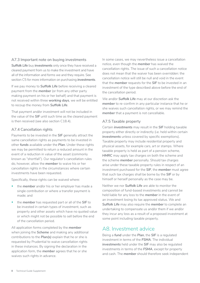#### <span id="page-7-0"></span>A7.3 Important note on buying investments

*Suffolk Life* buy *investments* only once they have received a cleared payment from us to make the investment and have all of the information and forms we and they require. See section C5 for more information on purchasing *investments*.

If we pay money to *Suffolk Life* before receiving a cleared payment from the *member* (or from any other party making payment on his or her behalf) and that payment is not received within three *working days*, we will be entitled to recoup the money from *Suffolk Life*.

That payment and/or investment will not be included in the value of the *SIF* until such time as the cleared payment is then received (see also section C18.4).

#### A7.4 Cancellation rights

Payments to be invested in the *SIF* generally attract the same cancellation rights as payments to be invested in other *funds* available under the *Plan*. Under these rights we may be permitted to return a reduced amount in the event of a reduction in value of the asset (commonly known as "shortfall"). Our regulator's cancellation rules do, however, allow the *member* to waive his or her cancellation rights in the circumstances where certain investments have been requested.

Specifically, these rights can be waived where:

- the *member* and/or his or her employer has made a single contribution or where a transfer payment is made; and
- the *member* has requested part or all of the *SIF* to be invested in certain types of investment, such as property and other assets which have no quoted value or which might not be possible to sell before the end of the cancellation period.

All application forms completed by the *member*  when joining the *Scheme* and making any additional contributions to the *Plan(s)* explain that he or she is requested by Prudential to waive cancellation rights in these instances. By signing the declaration in the application form, the *member* agrees that he or she waives such rights in advance.

In some cases, we may nevertheless issue a cancellation notice, even though the *member* has waived the cancellation rights. The issue of such a cancellation notice does not mean that the waiver has been overridden: the cancellation notice will still be null and void in the event that the *member* requests for the *SIF* to be invested in an investment of the type described above before the end of the cancellation period.

We and/or *Suffolk Life* may at our discretion ask the *member* to re-confirm in any particular instance that he or she waives such cancellation rights, or we may remind the *member* that a payment is not cancellable.

#### A7.5 Taxable property

Certain *investments* may result in the *SIF* holding taxable property either directly or indirectly (i.e. held within certain *investments* unless covered by specific exemptions). Taxable property may include residential property and physical assets, for example cars, art or stamps. Where taxable property is held as part of a pension scheme, *HMRC* may apply tax charges on both the scheme and the scheme *member* personally. Should tax charges arise under these taxable property rules in respect of an investment purchased for the *SIF*, the *member* must agree that such tax charges shall be borne by the *SIF* or by himself or herself personally as the case may be.

Neither we nor *Suffolk Life* are able to monitor the composition of fund-based investments and cannot be held liable for any loss to the *member* in the event of an investment losing its tax approved status. We and *Suffolk Life* may also require the *member* to complete an undertaking to compensate us and/or them if we and/or they incur any loss as a result of a proposed investment at some point including taxable property.

# A8. Investment advice

Being a *fund* under the *Plan*, the *SIF* is a regulated investment in terms of the *FSMA*. The individual *investments* held under the *SIF* may also be regulated investments in terms of the *FSMA*, except for property and cash. The *member* should therefore seek independent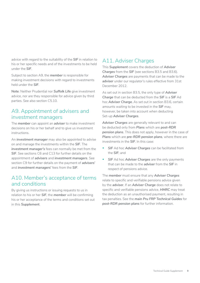<span id="page-8-0"></span>advice with regard to the suitability of the *SIF* in relation to his or her specific needs and of the investments to be held under the *SIF*.

Subject to section A9, the *member* is responsible for making investment decisions with regard to investments held under the *SIF*.

**Note**: Neither Prudential nor *Suffolk Life* give investment advice, nor are they responsible for advice given by third parties. See also section C5.10.

# A9. Appointment of advisers and investment managers

The *member* can appoint an *adviser* to make investment decisions on his or her behalf and to give us investment instructions.

An *investment manager* may also be appointed to advise on and manage the investments within the *SIF*. The *investment manager's* fees can normally be met from the *SIF*. See sections C6 and C13 for further details on the appointment of *advisers* and *investment managers*. See section C9 for further details on the payment of *advisers'*  and *investment managers'* fees from the *SIF*.

# A10. Member's acceptance of terms and conditions

By giving us instructions or issuing requests to us in relation to his or her *SIF*, the *member* will be confirming his or her acceptance of the terms and conditions set out in this *Supplement*.

# A11. Adviser Charges

This *Supplement* covers the deduction of *Adviser Charges* from the *SIF* (see sections B3.5 and B3.6). *Adviser Charges* are payments that can be made to the *adviser* under our regulator's rules effective from 31st December 2012.

As set out in section B3.5, the only type of *Adviser Charge* that can be deducted from the *SIF* is a *SIF* Ad hoc *Adviser Charge*. As set out in section B3.6, certain amounts waiting to be invested in the *SIF* may, however, be taken into account when deducting Set-up *Adviser Charges*.

*Adviser Charges* are generally relevant to and can be deducted only from *Plans* which are *post-RDR pension plans*. This does not apply, however in the case of *Plans* which are *pre-RDR pension plans*, where there are investments in the *SIF*. In this case:

- *SIF* Ad hoc *Adviser Charges* can be facilitated from the *SIF*; and
- *SIF* Ad hoc *Adviser Charges* are the only payments that can be made to the *adviser* from the *SIF* in respect of pensions advice.

The *member* must ensure that any *Adviser Charges*  relate to specific and verifiable pensions advice given by the *adviser*. If an *Adviser Charge* does not relate to specific and verifiable pensions advice, *HMRC* may treat the deduction as an unauthorised payment, resulting in tax penalties. See the *main Pru FRP Technical Guides* for *post-RDR pension plans* for further information.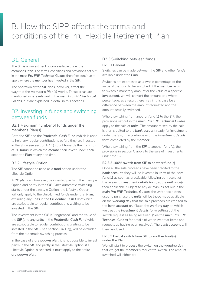# <span id="page-9-0"></span>B. How the SIPP affects the terms and conditions of the Pru Flexible Retirement Plan

# B1. General

The *SIF* is an investment option available under the *member's Plan*. The terms, conditions and provisions set out in the *main Pru FRP Technical Guides* therefore continue to apply where the *member* has invested in the *SIF*.

The operation of the *SIF* does, however, affect the way that the *member's Plan(s)* works. These areas are mentioned where relevant in the *main Pru FRP Technical Guides*, but are explained in detail in this section B.

# B2. Investing in funds and switching between funds

#### B2.1 Maximum number of funds under the member's Plan(s)

Both the *SIF* and the *Prudential Cash Fund* (which is used to hold any regular contributions before they are invested in the *SIF* – see section B4.1) count towards the maximum of 20 *funds* in which the *member* can invest under each separate *Plan* at any one time.

#### B2.2 Lifestyle Option

The *SIF* cannot be used as a *fund* option under the Lifestyle Option.

A *PP plan* can, however, be invested partly in the Lifestyle Option and partly in the *SIF*. Once automatic switching starts under the Lifestyle Option, the Lifestyle Option will only apply to the Unit-Linked *funds* under that *Plan*, excluding any *units* in the *Prudential Cash Fund* which are attributable to regular contributions waiting to be invested in the *SIF*.

The investment in the *SIF* is "ringfenced" and the value of the *SIF* (and any *units* in the *Prudential Cash Fund* which are attributable to regular contributions waiting to be invested in the *SIF* – see section B4.1(a)), will be excluded from the automatic switching process.

In the case of a *drawdown plan*, it is not possible to invest partly in the *SIF* and partly in the Lifestyle Option: if a Lifestyle Option is selected, it must apply to the entire *drawdown plan*.

#### B2.3 Switching between funds

#### **B2.3.1 General**

Switches can be made between the *SIF* and other *funds*  available under the *Plan*.

Switches are expressed as a whole percentage of the value of the *fund* to be switched. If the *member* asks to switch a monetary amount or the value of a specific *investment*, we will convert the amount to a whole percentage; as a result there may in this case be a difference between the amount requested and the amount actually switched.

Where switching from another *fund(s)* to the *SIF*, the provisions set out in the *main Pru FRP Technical Guides*  apply to the sale of *units*. The amount raised by the sale is then credited to the *bank account* ready for investment under the *SIF*, in accordance with the *investment details form* completed by the *member*.

Where switching from the *SIF* to another *fund(s)*, the provisions in section C apply to the sale of investments under the *SIF*.

#### **B2.3.2 100% switch from SIF to another fund(s)**

Once all the sale proceeds have been credited to the *bank account*, they will be invested in *units* of the new *fund(s)* as soon as practicable following our receipt of the relevant *investment details form*, at the *unit* price(s) then applicable. Subject to any delay(s) as set out in the *main Pru FRP Technical Guides*, the *unit* price date(s) used to purchase the *units* will be those made available on the *working day* that the sale proceeds are credited to the *bank account* or, if later, the *working day* on which we treat the *investment details form* setting out the switch request as being received. (See the *main Pru FRP Technical Guides* for details of when we treat items and requests as having been received). The *bank account* will then be closed.

#### **B2.3.3 Partial switch from SIF to another fund(s) under the Plan**

We will start to process the switch on the *working day*  that we get the *member's* request to switch. The amount switched will either be: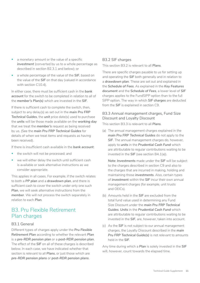- <span id="page-10-0"></span>a monetary amount or the value of a specific investment (converted by us to a whole percentage as described in section B2.3.1 and below); or
- a whole percentage of the value of the *SIF*, based on the value of the *SIF* on that day (valued in accordance with section C10.4).

In either case, there must be sufficient cash in the *bank account* for the switch to be completed in relation to all of the *member's Plan(s)* which are invested in the *SIF*.

If there is sufficient cash to complete the switch, then, subject to any delay(s) as set out in the *main Pru FRP Technical Guides*, the *unit* price date(s) used to purchase the *units* will be those made available on the *working day*  that we treat the *member's* request as being received by us. (See the *main Pru FRP Technical Guides* for details of when we treat items and requests as having been received).

If there is insufficient cash available in the *bank account*:

- the switch will not be processed; and
- we will either delay the switch until sufficient cash is available or seek alternative instructions as we consider appropriate.

This applies in all cases. For example, if the switch relates to both a *PP plan* and a *drawdown plan*, and there is sufficient cash to cover the switch under only one such *Plan*, we will seek alternative instructions from the *member*. We will not process the switch separately in relation to each *Plan*.

# B3. Pru Flexible Retirement Plan charges

#### B3.1 General

Different types of charges apply under the *Pru Flexible Retirement Plan* according to whether the relevant *Plan*  is a *pre-RDR pension plan* or a *post-RDR pension plan*. The effect of the *SIF* on all of these charges is described below. In each case, we have indicated whether that section is relevant to all *Plans*, or just those which are *pre-RDR pension plans* or *post-RDR pension plans*.

#### B3.2 SIF charges

This section B3.2 is relevant to all *Plans*.

There are specific charges payable to us for setting up and operating the *SIF* both generally and in relation to a *drawdown plan*. These are set out and explained in the *Schedule of Fees*. As explained in the *Key Features document* and the *Schedule of Fees*, a lower level of *SIF*  charges applies to the FundSIPP option than to the full SIPP option. The way in which *SIF charges* are deducted from the *SIF* is explained in section C9.

#### B3.3 Annual management charges, Fund Size Discount and Loyalty Discount

This section B3.3 is relevant to all *Plans*.

(a) The annual management charges explained in the *main Pru FRP Technical Guides* do not apply to the *SIF*. The annual management charges do, however, apply to *units* in the *Prudential Cash Fund* which are attributable to regular contributions waiting to be invested in the *SIF* (see section B4.1(a)).

**Note**: *Investments* made under the *SIF* will be subject to the charges described in section C9 and also to the charges that are incurred in making, holding and maintaining those *investments*. Also, certain types of *investment* within the *SIF* incur their own annual management charges (for example, unit trusts and OEICs).

- (b) Amounts held in the *SIF* are excluded from the total fund value used in determining any Fund Size Discount under the *main Pru FRP Technical Guides*. *Units* in the *Prudential Cash Fund* which are attributable to regular contributions waiting to be invested in the *SIF*, are, however, taken into account.
- (c) As the *SIF* is not subject to our annual management charges, the Loyalty Discount described in the *main Pru FRP Technical Guide(s)* is not relevant to amounts held in the *SIF*.

Any time during which a *Plan* is solely invested in the *SIF*  will, however, count towards the elapsed time.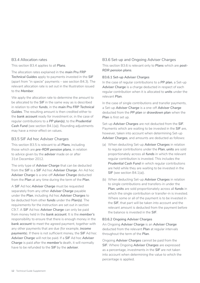#### B3.4 Allocation rates

This section B3.4 applies to all *Plans*.

The allocation rates explained in the *main Pru FRP Technical Guides* apply to payments invested in the *SIF*  (apart from "in specie" payments – see section B4.3). The relevant allocation rate is set out in the Illustration issued to the *Member*.

We apply the allocation rate to determine the amount to be allocated to the *SIF* in the same way as is described in relation to other *funds*, in the *main Pru FRP Technical Guides*. The resulting amount is then credited either to the *bank account* ready for investment or, in the case of regular contributions to a *PP plan(s)*, to the *Prudential Cash Fund* (see section B4.1(a)). Rounding adjustments may have a minor effect on values.

#### B3.5 SIF Ad hoc Adviser Charges

This section B3.5 is relevant to all *Plans*, including those which are *pre-RDR pension plans*, in relation to advice given by the *adviser* made on or after 31st December 2012.

The only type of *Adviser Charge* that can be deducted from the *SIF* is a *SIF* Ad hoc *Adviser Charge*. An Ad hoc *Adviser Charge* is a one-off *Adviser Charge* deducted from the *Plan* at any time during the term of the *Plan*.

A *SIF* Ad hoc *Adviser Charge* must be requested separately from any other *Adviser Charge* payable under the *Plan*, including Ad hoc *Adviser Charges* to be deducted from other *funds* under the *Plan(s)*. The requirements for the instruction are set out in section C9.7. A *SIF* Ad hoc *Adviser Charge* can only be paid from money held in the *bank account*. It is the *member's*  responsibility to ensure that there is enough money in the *bank account* to meet the agreed payment, together with any other payments that are due (for example, *income payments*). If there is not sufficient money, the *SIF* Ad hoc *Adviser Charge* will not be paid. If a *SIF* Ad hoc *Adviser Charge* is paid after the *member's* death, it will normally have to be refunded to the *SIF* by the *adviser*.

#### B3.6 Set-up and Ongoing Adviser Charges

This section B3.6 is relevant only to *Plans* which are *post-RDR pension plans*.

#### **B3.6.1 Set-up Adviser Charges**

In the case of regular contributions to a *PP plan*, a Set-up *Adviser Charge* is a charge deducted in respect of each regular contribution when it is allocated to *units* under the relevant *Plan*.

In the case of single contributions and transfer payments, a Set-up *Adviser Charge* is a one-off *Adviser Charge*  deducted from the *PP plan* or *drawdown plan* when the Plan is first set up.

Set-up *Adviser Charges* are not deducted from the *SIF*. Payments which are waiting to be invested in the *SIF* are, however, taken into account when determining Set-up *Adviser Charges*, and amounts are deducted as follows:

- (a) When deducting Set-up *Adviser Charges* in relation to regular contributions under the *Plan*, *units* are sold proportionately across all *funds* in which the relevant regular contribution is invested. This includes the *Prudential Cash Fund* in which regular contributions are held while they are waiting to be invested in the **SIF** (see section B4.1(a)).
- (b) When deducting Set-up *Adviser Charges* in relation to single contributions and transfers-in under the *Plan*, *units* are sold proportionately across all *funds* in which the single contribution or transfer-in is invested. Where some or all of the payment is to be invested in the *SIF*, that part will be taken into account and the relevant amount is deducted from the payment before the balance is invested in the *SIF*.

#### **B3.6.2 Ongoing Adviser Charges**

An Ongoing *Adviser Charge* is an *Adviser Charge*  deducted from the relevant *Plan* at regular intervals throughout the term of the *Plan*.

Ongoing *Adviser Charges* cannot be paid from the *SIF*. Where Ongoing *Adviser Charges* are expressed as a percentage, investments in the *SIF* are not taken into account when determining the value to which the percentage is applied.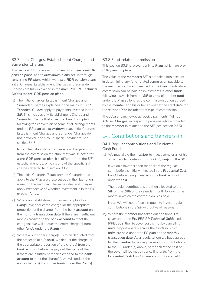#### <span id="page-12-0"></span>B3.7 Initial Charges, Establishment Charges and Surrender Charges

This section B3.7 is relevant to *Plans* which are *pre-RDR pension plans*, and to *drawdown plans* set up through converting *PP plans* which were *pre-RDR pension plans*. Initial Charges, Establishment Charges and Surrender Charges are fully explained in the *main Pru FRP Technical Guides* for *pre-RDR pension plans*.

(a) The Initial Charges, Establishment Charges and Surrender Charges explained in the *main Pru FRP Technical Guides* apply to payments invested in the *SIF*. This includes any Establishment Charge and Surrender Charge that arise in a *drawdown plan*  following the conversion of some or all arrangements under a *PP plan* to a *drawdown plan*. Initial Charges, Establishment Charges and Surrender Charges do not, however, apply to "in specie" payments. See section B4.3.

**Note**: The Establishment Charge is a charge arising from the commission structure that was selected for a *pre-RDR pension plan*. It is different from the *SIF*  establishment fee, which is one of the specific *SIF*  charges referred to in section B3.2.

- (b) The Initial Charge(s)/Establishment Charge(s) that apply to the *Plan* are those set out in the Illustration issued to the *member*. The same rates and charges apply irrespective of whether investment is in the *SIF*  or other *funds*.
- (c) Where an Establishment Charge(s) applies to a *Plan(s)*, we deduct the charge (or the appropriate proportion of the charge) from the *bank account* on the *monthly transaction date*. If there are insufficient monies credited to the *bank account* to meet the charge(s), we will deduct the entire charge(s) from other *funds* under the *Plan(s)*.
- (d) Where a Surrender Charge(s) is to be deducted from the proceeds of a *Plan(s)*, we deduct the charge (or the appropriate proportion of the charge) from the *bank account* before we pay out the value of the *SIF*. If there are insufficient monies credited to the *bank account* to meet the charge(s), we will deduct the entire charge(s) from other *funds* under the *Plan(s)*.

#### B3.8 Fund-related commission

This section B3.8 is relevant only to *Plans* which are *pre-RDR pension plans*.

The value of the *member's SIF* is not taken into account in determining any fund-related commission payable to the *member's adviser* in respect of the *Plan*. Fund-related commission can be paid on investments in other *funds*  following a switch from the *SIF* to *units* of another *fund*  under the *Plan* so long as the commission option agreed by the *member* and his or her *adviser* at the *start date* for the relevant *Plan* included that type of commission.

The *adviser* can, however, receive payments (Ad hoc *Adviser Charges*) in respect of pensions advice provided to the *member* in relation to the *SIF* (see section B3.5).

# B4. Contributions and transfers-in

#### B4.1 Regular contributions and Prudential Cash Fund

(a) We may allow the *member* to invest some or all of his or her regular contributions to a *PP plan(s)* in the *SIF*.

If we do allow this, then that part of the regular contribution is initially invested in the *Prudential Cash Fund*, before being invested in the *bank account*  under the *SIF*.

The regular contributions are then allocated to the **SIF** on the 28th of the calendar month following the month in which the contribution was paid.

**Note**: We will not refuse a request to invest regular contributions in the *SIF* without valid reasons.

(b) Where the *member* has taken out additional life cover under the *Pru FRP PP Technical Guide* coded IPPB6369, the life cover cost is met by cancelling *units* proportionately across the *funds* in which *units* are held under the *PP plan* on the *monthly transaction date*. As a result, where we have agreed for the *member* to pay regular monthly contributions to the *SIF* under (a) above, part or all of the cost of the cover will be met by cancelling *units* from the *Prudential Cash Fund* where such *units* are held on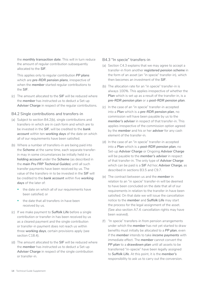the *monthly transaction date*. This will in turn reduce the amount of regular contribution subsequently allocated to the *SIF*.

This applies only to regular contribution *PP plans*  which are *pre-RDR pension plans*, irrespective of when the *member* started regular contributions to the *SIF*.

(c) The amount allocated to the *SIF* will be reduced where the *member* has instructed us to deduct a Set-up Adviser Charge in respect of the regular contributions.

#### B4.2 Single contributions and transfers-in

- (a) Subject to section B4.2(b), single contributions and transfers-in which are in cash form and which are to be invested in the *SIF*, will be credited to the *bank account* within ten *working days* of the date on which all of our requirements have been satisfied.
- (b) Where a number of transfers-in are being paid into the *Scheme* at the same time, each separate transferin may in some circumstances be initially held in a *holding account* under the *Scheme* (as described in the *main Pru FRP Technical Guides*) until all such transfer payments have been received by us. The value of the transfers-in to be invested in the *SIF* will be credited to the *bank account* within five *working days* of the later of:
	- the date on which all of our requirements have been satisfied; or
	- the date that all transfers-in have been received by us.
- (c) If we make payment to *Suffolk Life* before a single contribution or transfer-in has been received by us as a cleared payment and the single contribution or transfer-in payment does not reach us within three *working days*, certain provisions apply (see section C18.4).
- (d) The amount allocated to the *SIF* will be reduced where the *member* has instructed us to deduct a Set-up *Adviser Charge* in respect of the single contribution or transfer-in.

#### B4.3 "In specie" transfers-in

- (a) Section C4.3 explains that we may agree to accept a transfer-in from another *registered pension scheme* in the form of an asset (an "in specie" transfer-in), which then becomes an investment of the *SIF*.
- (b) The allocation rate for an "in specie" transfer-in is always 100%. This applies irrespective of whether the *Plan* which is set up as a result of the transfer-in, is a *pre-RDR pension plan* or a *post-RDR pension plan*.
- (c) In the case of an "in specie" transfer-in accepted into a *Plan* which is a *pre-RDR pension plan*, no commission will have been payable by us to the *member's adviser* in respect of that transfer-in. This applies irrespective of the commission option agreed by the *member* and his or her *adviser* for any cash element of the transfer-in.
- (d) In the case of an "in specie" transfer-in accepted into a *Plan* which is a *post-RDR pension plan*, no Set-up *Adviser Charge* or Ongoing *Adviser Charge*  will be payable to the *member's adviser* in respect of that transfer-in. The only type of *Adviser Charge*  which can be paid is a *SIF* Ad hoc *Adviser Charge*, as described in sections B3.5 and C9.7.
- (e) The contract between us and the *member* in relation to an "in specie" transfer-in will be deemed to have been concluded on the date that all of our requirements in relation to the transfer-in have been satisfied. On that date we will issue the cancellation notice to the *member* and *Suffolk Life* may start the process for the legal assignment of the asset. (See also section A7.4: cancellation rights may have been waived).
- (f) "In specie" transfers-in from pension arrangements under which the *member* has not yet started to draw benefits must initially be allocated to a *PP plan*, even if the *member* intends to take *income payments* with immediate effect. The *member* cannot convert the PP plan to a drawdown plan until all assets to be transferred "in-specie" have been legally assigned to *Suffolk Life*. At this point, it is the *member's*  responsibility to ask us to carry out the conversion.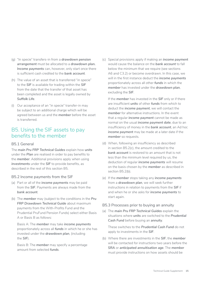- <span id="page-14-0"></span>(g) "In specie" transfers-in from a *drawdown pension arrangement* must be allocated to a *drawdown plan. Income payments* can, however, only start once there is sufficient cash credited to the *bank account*.
- (h) The value of an asset that is transferred "in specie" to the *SIF* is available for trading within the *SIF*  from the date that the transfer of that asset has been completed and the asset is legally owned by *Suffolk Life*.
- (i) Our acceptance of an "in specie" transfer-in may be subject to an additional charge which will be agreed between us and the *member* before the asset is transferred.

# B5. Using the SIF assets to pay benefits to the member

#### B5.1 General

The *main Pru FRP Technical Guides* explain how *units*  under the *Plan* are realised in order to pay benefits to the *member*. Additional provisions apply when using *investments* under the *SIF* to provide benefits, as described in the rest of this section B5.

#### B5.2 Income payments from the SIF

- (a) Part or all of the *income payments* may be paid from the *SIF*. Payments are always made from the *bank account*.
- (b) The *member* may (subject to the conditions in the *Pru FRP Drawdown Technical Guide* about maximum payments from the With-Profits Fund and the Prudential PruFund Pension Funds) select either Basis A or Basis B as follows:

Basis A: The *member* may take *income payments*  proportionately across all *funds* in which he or she has invested under the *drawdown plan*, (including the *SIF*).

Basis B: The *member* may specify a percentage amount from selected *funds*.

(c) Special provisions apply if making an *income payment*  would cause the balance on the *bank account* to fall below the minimum that we require (see sections A6 and C3.2) or become overdrawn. In this case, we will in the first instance deduct the *income payments*  proportionately across all other *funds* in which the *member* has invested under the *drawdown plan*, excluding the *SIF*.

If the *member* has invested in the *SIF* only or if there are insufficient *units* of other *funds* from which to deduct the *income payment*, we will contact the *member* for alternative instructions. In the event that a regular *income payment* cannot be made as normal on the usual *income payment date*, due to an insufficiency of money in the *bank account*, an Ad hoc *income payment* may be made at a later date if the *member* so requests.

- (d) When, following an insufficiency as described in section B5.2(c), the amount credited to the *bank account* is restored to an amount that is not less than the minimum level required by us, the deduction of regular *income payments* will resume on the basis chosen by the *member* as described in section B5.2(b).
- (e) If the *member* stops taking any *income payments*  from a *drawdown plan*, we will seek further instructions in relation to payments from the *SIF* if and when he or she asks for *income payments* to start again.

#### B5.3 Processes prior to buying an annuity

(a) The *main Pru FRP Technical Guides* explain the situations where *units* are switched to the *Prudential Cash Fund* before buying an *annuity*.

These switches to the *Prudential Cash Fund* do not apply to investments in the *SIF*.

(b) Where there are investments in the *SIF*, the *member*  will be contacted for instructions two years before the *SRA* or *anticipated annuitisation age*. The *member*  must provide instructions on how assets should be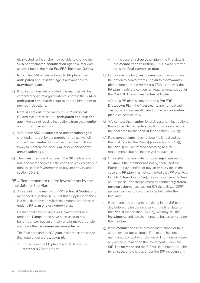disinvested, or he or she may be able to change the *SRA* or *anticipated annuitisation age* to a later date, as described in the *main Pru FRP Technical Guides*.

**Note**: The *SRA* is relevant only to *PP plans*. The *anticipated annuitisation age* is relevant only to *drawdown plans*.

(c) If no instructions are provided, the *member* will be contacted again at regular intervals before the *SRA* or *anticipated annuitisation age* to prompt him or her to provide instructions.

**Note**: As set out in the *main Pru FRP Technical Guides*, we may re-set the *anticipated annuitisation age* if we do not receive instructions from the *member*  about buying an *annuity*.

- (d) Where the *SRA* or *anticipated annuitisation age* is changed or re-set by the *member* or by us, we will contact the *member* for disinvestment instructions two years before the new *SRA* or new *anticipated annuitisation age*.
- (e) The *investments* will remain in the *SIF*, unless and until the *member* gives instructions or we exercise our right to sell the *investments* to buy an *annuity* under section C5.8.1.

#### B5.4 Requirement to realise investments by the final date for the Plan

(a) As set out in the *main Pru FRP Technical Guides*, and mentioned in section A1.2.3 of this *Supplement*, there is a final date beyond which no amounts can be held under a *PP plan* or a *drawdown plan*.

By that final date, all *units* and *investments* held under the *Plan(s)* must have been used to pay benefits and/or buy an *annuity* and/or make a transferout to another *registered pension scheme*.

The final date under a *PP plan* is not the same as the final date under a *drawdown plan*:

• In the case of a *PP plan*, the final date is the *member's* 75th birthday.

- In the case of a *drawdown plan*, the final date is the *member's* 99th birthday. This is also referred to as the *final conversion date*.
- (b) In the case of a *PP plan*, the *member* may also have the option to convert that *PP plan* to a *drawdown plan* before or at the *member's* 75th birthday, if the **PP plan** meets the conversion requirements set out in the *Pru FRP Drawdown Technical Guide*.

Where a *PP plan* is converted to a *Pru FRP Drawdown Plan*, the *investments* are not realised. The *SIF* is instead re-allocated to the new *drawdown plan*. See section B5.6.

- (c) We contact the *member* for disinvestment instructions through regular reminders starting two years before the final date for the *Plan(s)* (see section B5.4(a)).
- (d) If the *investments* have not been fully realised by the final date for the *Plan(s)* (see section B5.4(a)), the *Plan(s)* will be treated according to *HMRC*  requirements, but no income will be payable.
- (e) On or after the final date for the *Plan(s)* (see section B5.4(a)), if the *member* has not by then used the *Plan(s)* to pay benefits or buy an *annuity* (or, in the case of a *PP plan*, has not converted that *PP plan* to a *Pru FRP Drawdown Plan*), he or she will need to take an "in specie" transfer payment to another *registered pension scheme* (see section B7) that allows "SIPP" pension savings to continue to be held after the final date.
- (f) If there are any amounts remaining in the *SIF* by the day before the first anniversary of the final date for the *Plan(s)* (see section B5.4(a)), we may sell the *investments* and use the money to buy an *annuity* for the *member*.
- (g) If the *member* does not provide instructions or take a transfer-out (for example, if he or she has not maintained contact with us), we will not normally take any action in relation to the investments under the *SIF*. The *member* and the *SIF* will continue to be liable for all *costs* and charges under the *SIF* including any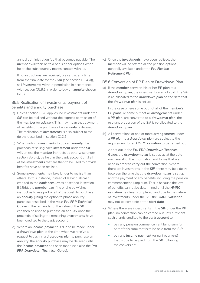annual administration fee that becomes payable. The *member* will then be told of his or her options when he or she subsequently makes contact with us.

If no instructions are received, we can, at any time from the final date for the *Plan* (see section B5.4(a)), sell *investments* without permission in accordance with section C5.8.1 in order to buy an *annuity* chosen by us.

#### B5.5 Realisation of investments, payment of benefits and annuity purchase

- (a) Unless section C5.8 applies, no *investments* under the **SIF** can be realised without the express permission of the *member* (or *adviser*). This may mean that payment of benefits or the purchase of an *annuity* is delayed. The realisation of *investments* is also subject to the delays described in section C12.1.
- (b) When selling *investments* to buy an *annuity*, the proceeds of selling each *investment* under the *SIF*  will, unless the *member* instructs us otherwise under section B5.5(c), be held in the *bank account* until all of the *investments* that are then to be used to provide benefits have been realised.
- (c) Some *investments* may take longer to realise than others. In this instance, instead of leaving all cash credited to the *bank account* as described in section B5.5(b), the *member* can if he or she so wishes, instruct us to use part or all of that cash to purchase an *annuity* (using the option to phase *annuity*  purchase described in the *main Pru FRP Technical Guides*). The remainder of the value of the *SIF*  can then be used to purchase an *annuity* once the proceeds of selling the remaining *investments* have been credited to the *bank account*.
- (d) Where an *income payment* is due to be made under a *drawdown plan* at the time when we receive a request to cash in a *drawdown plan* to purchase an *annuity*, the *annuity* purchase may be delayed until the *income payment* has been made (see also the *Pru FRP Drawdown Technical Guide*).

(e) Once the *investments* have been realised, the *member* will be offered all the pension options generally available under the *Pru Flexible Retirement Plan*.

#### B5.6 Conversion of PP Plan to Drawdown Plan

(a) If the *member* converts his or her *PP plan* to a *drawdown plan*, the investments are not sold. The *SIF*  is re-allocated to the *drawdown plan* on the date that the **drawdown plan** is set up.

In the case where some but not all of the *member's PP plans*, or some but not all *arrangements* under a *PP plan*, are converted to a *drawdown plan*, the relevant proportion of the *SIF* is re-allocated to the *drawdown plan*.

(b) All conversions of one or more *arrangements* under a *PP plan* to a *drawdown plan* are subject to the requirement for an *HMRC valuation* to be carried out.

As set out in the *Pru FRP Drawdown Technical Guide*, the *drawdown plan* is set up as at the date we have all of the information and forms that we need in order to carry out the conversion. Where there are investments in the *SIF*, there may be a delay between the time that the *drawdown plan* is set up and the payment of any benefits including the pension commencement lump sum. This is because the level of benefits cannot be determined until the *HMRC valuation* has been completed, and due to the nature of investments under the *SIF*, the *HMRC valuation*  may not be complete at the *start date*.

- (c) Where there are investments in the *SIF* under the *PP plan*, no conversion can be carried out until sufficient cash stands credited to the *bank account* to:
	- pay any pension commencement lump sum (or part of this sum) that is to be paid from the *SIF*;
	- pay any *income payment* (or part payment) that is due to be paid from the *SIF* following the conversion;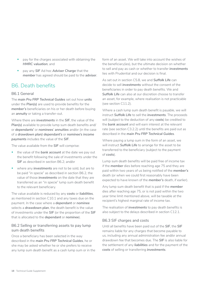- <span id="page-17-0"></span>• pay for the charges associated with obtaining the *HMRC valuation*; and
- pay any *SIF* Ad hoc *Adviser Charge* that the *member* has agreed should be paid to the *adviser*.

# B6. Death benefits

#### B6.1 General

The *main Pru FRP Technical Guides* set out how *units*  under the *Plan(s)* are used to provide benefits for the *member's* beneficiaries on his or her death before buying an *annuity* or taking a transfer-out.

Where there are *investments* in the *SIF*, the value of the *Plan(s)* available to provide lump sum death benefits and/ or *dependants'* or *nominees*' *annuities* and/or (in the case of a *drawdown plan) dependant's* or *nominee's income payments* includes the value of the *SIF*.

The value available from the *SIF* will comprise:

- the value of the *bank account* at the date we pay out the benefit following the sale of investments under the **SIF** as described in section B6.2; and/or
- where any *investments* are not to be sold, but are to be paid "in specie" as described in section B6.2, the value of those *investments* on the date that they are transferred as an "in specie" lump sum death benefit to the relevant beneficiary.

The value available is reduced by any *costs* or *liabilities*, as mentioned in section C10.1 and any taxes due on the payment. In the case where a *dependant* or *nominee*  selects a *drawdown plan*, the death benefit is the value of investments under the *SIF* (or the proportion of the *SIF*  that is allocated to the *dependant* or *nominee*).

#### B6.2 Selling or transferring assets to pay lump sum death benefits

Once a beneficiary has been selected in the way described in the *main Pru FRP Technical Guides*, he or she may be asked whether he or she prefers to receive any lump sum death benefit as a cash lump sum or in the form of an asset. We will take into account the wishes of the beneficiary(ies), but the ultimate decision on whether to sell and pay as cash or whether to transfer *investments*  lies with Prudential and our decision is final.

As set out in section C5.8, we and *Suffolk Life* can decide to sell *investments* without the consent of the beneficiaries in order to pay death benefits. We and *Suffolk Life* can also at our discretion choose to transfer an asset, for example, where realisation is not practicable (see section C11.2).

Where a cash lump sum death benefit is payable, we will instruct *Suffolk Life* to sell the *investments*. The proceeds will (subject to the deduction of any *costs*) be credited to the *bank account* and will earn interest at the relevant rate (see section C3.2.2) until the benefits are paid out as described in the *main Pru FRP Technical Guides*.

Where paying a lump sum in the form of an asset, we will instruct *Suffolk Life* to arrange for the asset to be transferred to the beneficiary (subject to the payment of *costs*).

Lump sum death benefits will be paid free of income tax if the *member* dies before reaching age 75 and they are paid within two years of us being notified of the *member's*  death (or when we could first reasonably have been expected to have known of the *member's* death, if earlier).

Any lump sum death benefit that is paid if the *member*  dies after reaching age 75, or is not paid within the two year time limit mentioned above, will be taxable at the recipient's highest marginal rate of income tax.

The realisation of *investments* to pay death benefits is also subject to the delays described in section C12.1.

#### B6.3 SIF charges and costs

Until all benefits have been paid out of the *SIF*, the *SIF*  remains liable for any charges that become payable to us, including any annual administration fee and/or annual drawdown fee that becomes due. The *SIF* is also liable for the settlement of any *liabilities* and for the payment of the *costs* of selling or transferring *investments*.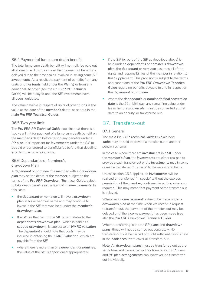#### <span id="page-18-0"></span>B6.4 Payment of lump sum death benefit

The total lump sum death benefit will normally be paid out all at one time. This may mean that payment of benefits is delayed due to the time scales involved in selling some *SIF investments*. As a result, the payment of benefits from any *units* of other *funds* held under the *Plan(s)* or from any additional life cover (see the *Pru FRP PP Technical Guide*) will be delayed until the *SIF* investments have all been liquidated.

The value payable in respect of *units* of other *funds* is the value at the date of the *member's* death, as set out in the *main Pru FRP Technical Guides*.

#### B6.5 Two year limit

The *Pru FRP PP Technical Guide* explains that there is a two year limit for payment of a lump sum death benefit on the *member's* death before taking any benefits under a *PP plan*. It is important for *investments* under the *SIF* to be sold or transferred to beneficiaries before that deadline, in order to avoid a tax charge.

#### B6.6 Dependant's or Nominee's drawdown Plan

A *dependant* or *nominee* of a *member* with a *drawdown plan* may on the death of the *member*, subject to the terms of the *Pru FRP Drawdown Technical Guide*, select to take death benefits in the form of *income payments*. In this case:

- the *dependant* or *nominee* will have a *drawdown plan* in his or her own name and may continue to invest in the *SIF* that was held under the *member's drawdown plan*;
- the *SIF*, or that part of the *SIF* which relates to the *dependant's drawdown plan* (which is paid as a *capped drawdown*), is subject to an *HMRC valuation*. The *dependant* should note that *costs* may be incurred in obtaining the *HMRC valuation*, which are payable from the *SIF*;
- where there is more than one *dependant* or *nominee*, the value of the *SIF* is apportioned appropriately;
- if the *SIF* (or part of the *SIF* as described above) is held under a *dependant's* or *nominee's drawdown plan*, the *dependant* or *nominee* assumes all of the rights and responsibilities of the *member* in relation to this *Supplement*. This provision is subject to the terms and conditions of the *Pru FRP Drawdown Technical Guide* regarding benefits payable to and in respect of the *dependant* or *nominee*;
- where the *dependant's* or *nominee's final conversion*  date is the 99th birthday, any remaining value under his or her *drawdown plan* must be converted at that date to an annuity, or transferred out.

### B7.  Transfers-out

#### B7.1 General

The *main Pru FRP Technical Guides* explain how *units* may be sold to provide a transfer-out to another pension scheme.

In the case where there are *investments* in a *SIF* under the *member's Plan*, the *investments* are either realised to provide a cash transfer-out or the *investments* may in some cases be transferred "in specie" to the receiving scheme.

Unless section C5.8 applies, no *investments* will be realised or transferred "in specie" without the express permission of the *member*, confirmed in writing where so required. This may mean that payment of the transfer-out is delayed.

Where an *income payment* is due to be made under a *drawdown plan* at the time when we receive a request to transfer out, the payment of the transfer-out may be delayed until the *income payment* has been made (see also the *Pru FRP Drawdown Technical Guide*).

Where transferring-out both *PP plans* and *drawdown plans*, these will not be carried out separately. No transfers-out will be carried out until sufficient cash is held in the *bank account* to cover all transfers-out.

**Note**: All *drawdown plans* must be transferred out at the same time and cannot be split for transfer-out. *PP plans*  and *PP plan arrangements* can, however, be transferred out individually.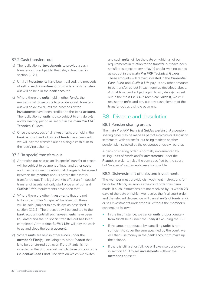#### <span id="page-19-0"></span>B7.2 Cash transfers-out

- (a) The realisation of *investments* to provide a cash transfer-out is subject to the delays described in section C12.1.
- (b) Until all *investments* have been realised, the proceeds of selling each *investment* to provide a cash transferout will be held in the *bank account*.
- (c) Where there are *units* held in other *funds*, the realisation of those *units* to provide a cash transferout will be delayed until the proceeds of the *investments* have been credited to the *bank account*. The realisation of *units* is also subject to any delay(s) and/or waiting period as set out in the *main Pru FRP Technical Guides*.
- (d) Once the proceeds of all *investments* are held in the *bank account* and all *units* of *funds* have been sold, we will pay the transfer-out as a single cash sum to the receiving scheme.

#### B7.3 "In specie" transfers-out

- (a) A transfer-out paid as an "in specie" transfer of assets will be subject to payment of legal and other *costs*  and may be subject to additional charges to be agreed between the *member* and us before the asset is transferred out. The legal work to effect an "in specie" transfer of assets will only start once all of our and *Suffolk Life's* requirements have been met.
- (b) Where there are other *investments* that are not to form part of an "in specie" transfer-out, these will be sold (subject to any delays as described in section C12.1). The proceeds will be credited to the *bank account* until all such *investments* have been liquidated and the "in specie" transfer-out has been completed. At that time *Suffolk Life* will pay the cash to us and close the *bank account*.
- (c) Where *units* are held in other *funds* under the *member's Plan(s)* (including any other *Plan(s)* that is to be transferred out, even if that Plan(s) is not invested in the *SIF*), we will switch these *units* into the *Prudential Cash Fund*. The date on which we switch

any such *units* will be the date on which all of our requirements in relation to the transfer-out have been satisfied (subject to any delay(s) and/or waiting period as set out in the *main Pru FRP Technical Guides*). These amounts will remain invested in the *Prudential Cash Fund* until *Suffolk Life* pay us any other amounts to be transferred out in cash form as described above. At that time (and subject again to any delay(s) as set out in the *main Pru FRP Technical Guides*), we will realise the *units* and pay out any cash element of the transfer-out as a single payment.

# B8.  Divorce and dissolution

#### B8.1 Pension sharing orders

The *main Pru FRP Technical Guides* explain that a pension sharing order may be made as part of a divorce or dissolution settlement, with a transfer-out being made to another pension plan selected by the ex-spouse or ex-civil partner.

A pension sharing order is normally implemented by selling *units* of *funds* and/or *investments* under the *Plan(s)*, in order to raise the sum specified by the court, but "in specie" settlements are also possible.

#### B8.2 Disinvestment of units and investments

The *member* must provide disinvestment instructions for his or her *Plan(s)* as soon as the court order has been made. If such instructions are not received by us within 28 days of the date on which we receive the final court order and the relevant decree, we will cancel *units* of *funds* and/ or sell *investments* under the *SIF* without the *member's*  consent, as follows:

- In the first instance, we cancel *units* proportionately from *funds* held under the *Plan(s)* excluding the *SIF*.
- If the amount produced by cancelling *units* is not sufficient to cover the sum specified by the court, we will then use money in the *bank account* to make up the balance.
- If there is still a shortfall, we will exercise our powers in section C5.8 to sell *investments* without the *member's* consent.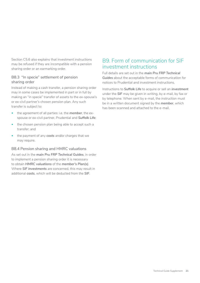<span id="page-20-0"></span>Section C5.6 also explains that investment instructions may be refused if they are incompatible with a pension sharing order or an earmarking order.

#### B8.3  "In specie" settlement of pension sharing order

Instead of making a cash transfer, a pension sharing order may in some cases be implemented in part or in full by making an "in specie" transfer of assets to the ex-spouse's or ex-civil partner's chosen pension plan. Any such transfer is subject to:

- the agreement of all parties: i.e. the *member*, the exspouse or ex-civil partner, Prudential and *Suffolk Life*;
- the chosen pension plan being able to accept such a transfer; and
- the payment of any *costs* and/or charges that we may require.

#### B8.4 Pension sharing and HMRC valuations

As set out in the *main Pru FRP Technical Guides*, in order to implement a pension sharing order it is necessary to obtain *HMRC valuations* of the *member's Plan(s)*. Where *SIF investments* are concerned, this may result in additional *costs*, which will be deducted from the *SIF*.

# B9. Form of communication for SIF investment instructions

Full details are set out in the *main Pru FRP Technical Guides* about the acceptable forms of communication for notices to Prudential and investment instructions.

Instructions to *Suffolk Life* to acquire or sell an *investment*  under the *SIF* may be given in writing, by e-mail, by fax or by telephone. When sent by e-mail, the instruction must be in a written document signed by the *member*, which has been scanned and attached to the e-mail.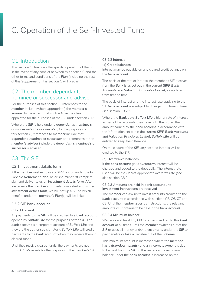# <span id="page-21-0"></span>C. Operation of the Self-Invested Fund

# C<sub>1</sub> Introduction

This section C describes the specific operation of the *SIF*. In the event of any conflict between this section C and the other terms and conditions of the *Plan* (including the rest of this *Supplement*), this section C will prevail.

## C2. The member, dependant, nominee or successor and adviser

For the purposes of this section C, references to the *member* include (where appropriate) the *member's adviser*, to the extent that such *adviser* has been appointed for the purposes of the *SIF* under section C13.

Where the *SIF* is held under a *dependant's*, *nominee's*  or *successor's drawdown plan*, for the purposes of this section C, references to *member* include that *dependant*, *nominee* or *successor* and references to the *member's adviser* include the *dependant's*, *nominee's* or *successor's adviser*.

# C<sub>3</sub> The SIF

#### C3.1 Investment details form

If the *member* wishes to use a SIPP option under the *Pru Flexible Retirement Plan*, he or she must first complete, sign and deliver to us an *investment details form*. After we receive the *member's* properly completed and signed *investment details form*, we will set up a *SIF* to which benefits under the *member's Plan(s)* will be linked.

#### C3.2 SIF bank account

#### **C3.2.1 General**

All payments to the *SIF* will be credited to a *bank account*  opened by *Suffolk Life* for the purposes of the *SIF*. The *bank account* is a corporate account of *Suffolk Life* and they are the authorised signatory. *Suffolk Life* will credit payments to the *bank account* when they receive them in cleared funds.

Until they receive cleared funds, the payments are not *Suffolk Life's* assets for the purposes of the *member's SIF*.

#### **C3.2.2 Interest**

#### **(a) Credit balances**

Interest may be payable on any cleared credit balance on the *bank account*.

The basis of the rate of interest the member's SIF receives from the *Bank* is as set out in the current *SIPP Bank Accounts and Valuation Principles Leaflet*, as updated from time to time.

The basis of interest and the interest rate applying to the SIF *bank account* are subject to change from time to time (see section C3.2.6).

Where the *Bank* pays *Suffolk Life* a higher rate of interest across all the accounts they have with them than the amount earned by the *bank account* in accordance with the information set out in the current *SIPP Bank Accounts and Valuation Principles Leaflet*, *Suffolk Life* will be entitled to keep the difference.

On the closure of the *SIF*, any accrued interest will be credited to the *SIF*.

#### **(b) Overdrawn balances**

If the *bank account* goes overdrawn interest will be charged and added to the debt daily. The interest rate used will be the *Bank's* appropriate overdraft rate (see also section C8.2).

#### **C3.2.3 Amounts are held in bank account until investment instructions are received**

The *member* can ask us to invest amounts credited to the **bank account** in accordance with sections C5, C6, C7 and C8. Until the *member* gives us instructions, the relevant amounts will continue to be held in the *bank account*.

#### **C3.2.4 Minimum balance**

We require at least £1,000 to remain credited to this *bank account* at all times, until the *member* switches out of the *SIF* or uses all money and/or *investments* under the *SIF* to pay benefits or take a transfer-out of the *Scheme*.

This minimum amount is increased where the *member*  has a *drawdown plan(s)* and an *income payment* is due to be paid from the *SIF*. In this instance the minimum balance under the *bank account* is increased on the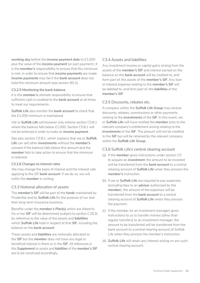*working day* before the *income payment date* to £1,000 plus the value of the *income payment* (or part payment). It is the *member's* responsibility to ensure that this minimum is met, in order to ensure that *income payments* are made. *Income payments* may fail if the *bank account* does not hold this minimum amount (see section B5.2).

#### **C3.2.5 Monitoring the bank balance**

It is the *member's* ultimate responsibility to ensure that sufficient cash is credited to the *bank account* at all times to meet our requirements.

*Suffolk Life* also monitor the *bank account* to check that the £1,000 minimum is maintained.

We or *Suffolk Life* will however only enforce section C5.8.1 where the balance falls below £1,000. Section C5.8.1 will not be enforced in order to make an *income payment*.

See also section C5.8.1, which explains that we or *Suffolk Life* can sell other *investments* without the *member's*  consent if the balance falls below this amount and the *member* fails to take action to ensure that the minimum is restored.

#### **C3.2.6 Changes to interest rates**

We may change the basis of interest and the interest rate applying to the SIF *bank account*. If we do so, we will notify the *member* in writing.

#### C3.3 Notional allocation of assets

The *member's SIF* will be part of the *funds* maintained by Prudential and by *Suffolk Life* for the purpose of our and their long-term insurance business.

Benefits under the *member's Plan(s)* which are linked to his or her *SIF* will be determined (subject to section C18.3) by reference to the value of the assets and *liabilities*  which *Suffolk Life* hold in respect of that *SIF*, including the balance on the *bank account*.

These assets and *liabilities* are notionally allocated to the *SIF* but the *member* does not have any legal or beneficial interest in them or in the *SIF*. All references in this *Supplement* to assets and *liabilities* of the *member's SIF*  are to be construed accordingly.

#### C3.4 Assets and liabilities

Any investment income or capital gains arising from the assets of the *member's SIF* and interest earned on the balance on the *bank account* will be credited to, and form part of, the assets of the *member's SIF*. Any loan or interest expense relating to the *member's SIF* will be debited to, and form part of, the *liabilities* of the *member's SIF*.

#### C3.5 Discounts, rebates etc.

A company within the *Suffolk Life Group* may receive discounts, rebates, commissions or other payments relating to the *investments* of the *SIF*. In this event, we or *Suffolk Life* will have notified the *member* prior to the relevant company's entitlement arising relating to the *investments* of the *SIF*. The amount will not be credited to the *SIF* but will be retained by the relevant company within the *Suffolk Life Group*.

#### C3.6 Suffolk Life's central clearing account

- (a) If the *member* gives instructions under section C5 to acquire an *investment*, the amount to be invested will be transferred from the *bank account* to a central clearing account of *Suffolk Life* when they process the *member's* instruction.
- (b) If we or **Suffolk Life** are required to pay expenses (including fees to an *adviser* authorised by the *member*), the amount of the expenses will be transferred from the *bank account* to a central clearing account of *Suffolk Life* when they process the payment.
- (c) If the member (or an investment manager) gives instructions to us to transfer monies (other than regular transfers) to an investment manager, the amount to be transferred will be transferred from the bank account to a central clearing account of Suffolk Life when they process the member's instruction.
- (d) **Suffolk Life** will retain any interest arising on any such central clearing account.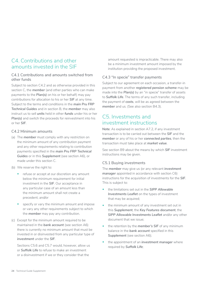# <span id="page-23-0"></span>C4. Contributions and other amounts invested in the SIF

#### C4.1 Contributions and amounts switched from other funds

Subject to section C4.2 and as otherwise provided in this section C, the *member* (and other parties who can make payments to the *Plan(s)* on his or her behalf) may pay contributions for allocation to his or her *SIF* at any time. Subject to the terms and conditions in the *main Pru FRP Technical Guides* and in section B, the *member* may also instruct us to sell *units* held in other *funds* under his or her *Plan(s)* and switch the proceeds for reinvestment into his or her *SIF*.

#### C4.2 Minimum amounts

- (a) The *member* must comply with any restriction on the minimum amount of any contribution payment and any other requirements relating to contribution payments specified in the *main Pru FRP Technical Guides* or in this *Supplement* (see section A6), or made under this section C.
- (b) We reserve the right to:
	- refuse or accept at our discretion any amount below the minimum requirement for initial investment in the *SIF*. Our acceptance in any particular case of an amount less than the minimum amount shall not create a precedent; and/or
	- specify or vary the minimum amount and impose or vary any other requirements subject to which the *member* may pay any contribution.
- (c) Except for the minimum amount required to be maintained in the *bank account* (see section A6) there is currently no minimum amount that must be invested in or disinvested from any particular type of *investment* under the *SIF*.

Sections C5.6 and C5.7 would, however, allow us or *Suffolk Life* to refuse to make an investment or a disinvestment if we or they consider that the

amount requested is impracticable. There may also be a minimum investment amount imposed by the institution providing the proposed investment.

#### C4.3 "In specie" transfer payments

Subject to our agreement on each occasion, a transfer-in payment from another *registered pension scheme* may be made into the *Plan(s)* by an "in specie" transfer of assets to *Suffolk Life*. The terms of any such transfer, including the payment of *costs*, will be as agreed between the *member* and us. (See also section B4.3).

# C5. Investments and investment instructions

**Note**: As explained in section A7.2, if any investment transaction is to be carried out between the *SIF* and the *member* or any of his or her *connected parties*, then the transaction must take place at *market value*.

See section B9 about the means by which *SIF* investment instructions may be given.

#### C5.1 Buying investments

The *member* may give us (or any relevant *investment*  **manager** appointed in accordance with section C6) instructions for the acquisition of investments for the *SIF*. This is subject to:

- the limitations set out in the *SIPP Allowable Investments Leaflet* on the types of investment that may be acquired;
- the minimum amount of any investment set out in this *Supplement*, the *Key Features document*, the *SIPP Allowable Investments Leaflet* and/or any other document that we issue;
- the retention by the *member's SIF* of any minimum balance in the *bank account* specified in this **Supplement** (see section A6);
- the appointment of an *investment manager* where required by *Suffolk Life*;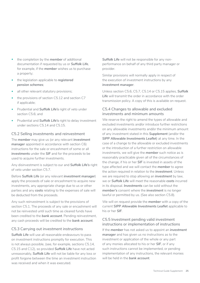- the completion by the *member* of additional documentation if requested by us or *Suffolk Life*, for example, if the *member* wishes us to purchase a property;
- the legislation applicable to *registered pension schemes*;
- all other relevant statutory provisions;
- the provisions of section C5.12 and section C7 if applicable;
- Prudential and *Suffolk Life's* right of veto under section C5.6; and
- Prudential and *Suffolk Life's* right to delay investment under sections C5.14 and C5.15.

#### C5.2 Selling investments and reinvestment

The *member* may give us (or any relevant *investment*  **manager** appointed in accordance with section C6) instructions for the sale or encashment of some or all *investments* under the *SIF* and for the proceeds to be used to acquire further investments.

Any disinvestment is subject to our and *Suffolk Life's* right of veto under section C5.7.

Before *Suffolk Life* (or any relevant *investment manager*) apply the proceeds of sale or encashment to acquire new investments, any appropriate charge due to us or other parties and any *costs* relating to the expenses of sale will be deducted from the proceeds.

Any such reinvestment is subject to the provisions of section C5.1. The proceeds of any sale or encashment will not be reinvested until such time as cleared funds have been credited to the *bank account*. Pending reinvestment, any cash proceeds will be credited to the *bank account*.

#### C5.3 Carrying out investment instructions

*Suffolk Life* will use all reasonable endeavours to pass on investment instructions promptly for execution. This is not always possible, (see, for example, sections C5.14, C5.15 and C12), so provided *Suffolk Life* have not acted unreasonably, *Suffolk Life* will not be liable for any loss or profit forgone between the time an investment instruction was received and when it was executed.

*Suffolk Life* will not be responsible for any nonperformance on behalf of any third party manager or provider.

Similar provisions will normally apply in respect of the execution of investment instructions by any *investment manager*.

Unless section C5.6, C5.7, C5.14 or C5.15 applies, *Suffolk Life* will transmit the order in accordance with the order transmission policy. A copy of this is available on request.

#### C5.4 Changes to allowable and excluded investments and minimum amounts

We reserve the right to amend the types of allowable and excluded investments and/or introduce further restrictions on any allowable investments and/or the minimum amount of any investment stated in this *Supplement* (and/or the *SIPP Allowable Investments Leaflet*) at any time. In the case of a change to the allowable or excluded investments or the introduction of a further restriction on allowable investments, we will give the *member* such notice as is reasonably practicable given all of the circumstances of the change, if his or her *SIF* is invested in assets of the type affected and we will contact the *member* to agree the action required in relation to the *investment*. Unless we are required to stop allowing an *investment* by law, we or *Suffolk Life* will meet the reasonable *costs* incurred in its disposal. *Investments* can be sold without the *member's* consent where the *investment* is no longer lawful or permitted by us. (See also section C5.8).

We will on request provide the *member* with a copy of the current *SIPP Allowable Investments Leaflet* applicable to his or her *SIF*.

#### C5.5 Investment pending valid investment instructions or implementation of instructions

If the *member* has not asked us to appoint an *investment manager* and has given us no instructions as to the investment or application of the whole or any part of any monies allocated to his or her *SIF*, or if any such instructions cannot be implemented, or pending implementation of any instructions, the relevant monies will be held in the *bank account*.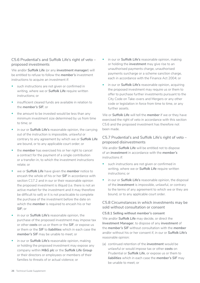#### C5.6 Prudential's and Suffolk Life's right of veto – proposed investments

We and/or *Suffolk Life* (or any *investment manager*) will be entitled to refuse to follow the *member's* investment instructions to acquire an investment if:

- such instructions are not given or confirmed in writing, where we or *Suffolk Life* require written instructions; or
- insufficient cleared funds are available in relation to the *member's SIF*; or
- the amount to be invested would be less than any minimum investment size determined by us from time to time; or
- in our or *Suffolk Life's* reasonable opinion, the carrying out of the instruction is impossible, unlawful or contrary to any agreement by which we or *Suffolk Life*  are bound, or to any applicable court order; or
- the *member* has exercised his or her right to cancel a contract for the payment of a single contribution or a transfer-in, to which the investment instructions relate; or
- we or *Suffolk Life* have given the *member* notice to encash the whole of his or her *SIF* in accordance with section C17.2 and in our or their reasonable opinion the proposed investment is illiquid (i.e. there is not an active market for the investment and it may therefore be difficult to sell) or it is not practicable to complete the purchase of the investment before the date on which the *member* is required to encash his or her *SIF*; or
- in our or *Suffolk Life's* reasonable opinion, the purchase of the proposed investment may impose tax or other *costs* on us or them or the *SIF*, or expose us or them or the *SIF* to *liabilities* which in each case the *member's SIF* may be unable to meet; or
- in our or *Suffolk Life's* reasonable opinion, making or holding the proposed investment may expose any company within *M&G plc* or the *Suffolk Life Group*  or their directors or employees or members of their families to threats of or actual violence; or
- in our or *Suffolk Life's* reasonable opinion, making or holding the *investment* may give rise to an unauthorised payments charge, unauthorised payments surcharge or a scheme sanction charge, each in accordance with the Finance Act 2004; or
- in our or *Suffolk Life's* reasonable opinion, acquiring the proposed investment may require us or them to offer to purchase further investments pursuant to the City Code on Take-overs and Mergers or any other code or legislation in force from time to time, or any further assets.

We or *Suffolk Life* will tell the *member* if we or they have exercised the right of veto in accordance with this section C5.6 and the proposed investment has therefore not been made.

#### C5.7 Prudential's and Suffolk Life's right of veto – proposed disinvestments

We and/or *Suffolk Life* will be entitled not to dispose of an *investment* in accordance with the *member's*  instructions if:

- such instructions are not given or confirmed in writing, where we or *Suffolk Life* require written instructions; or
- in our or *Suffolk Life's* reasonable opinion, the disposal of the *investment* is impossible, unlawful, or contrary to the terms of any agreement to which we or they are bound, or to any applicable court order.

#### C5.8 Circumstances in which investments may be sold without consultation or consent

#### **C5.8.1 Selling without member's consent**

We and/or *Suffolk Life* may decide, or direct the *Investment Manager*, to dispose of any *investment* of the *member's SIF* without consultation with the *member*  and/or without his or her consent if, in our or *Suffolk Life's*  reasonable opinion:

(a) continued retention of the *investment* would be unlawful or would impose tax or other *costs* on Prudential or *Suffolk Life*, or expose us or them to *liabilities* which in each case the *member's SIF* may be unable to meet; or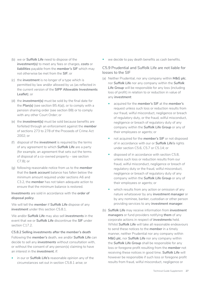- (b) we or *Suffolk Life* need to dispose of the *investment(s)* to meet any fees or charges, *costs* or *liabilities* payable from the *member's SIF* which may not otherwise be met from the *SIF*; or
- (c) the *investment* is no longer of a type which is permitted by law and/or allowed by us (as reflected in the current version of the **SIPP Allowable Investments Leaflet**); or
- (d) the *investment(s)* must be sold by the final date for the *Plan(s)* (see section B5.4(a)), or to comply with a pension sharing order (see section B8) or to comply with any other Court Order; or
- (e) the *investment(s)* must be sold because benefits are forfeited through an enforcement against the *member*  of sections 273 to 278 of the Proceeds of Crime Act 2002; or
- (f) disposal of the *investment* is required by the terms of any agreement to which *Suffolk Life* are a party (for example, an agreement that sets out the terms of disposal of a co-owned property – see section C7.8); or
- (g) following reasonable notice from us to the *member*  that the *bank account* balance has fallen below the minimum amount required under sections A6 and C3.2, the *member* has not taken adequate action to ensure that the minimum balance is restored.

*Investments* are sold in accordance with the *order of disposal policy*.

We will tell the *member* if *Suffolk Life* dispose of any *investment* under this section C5.8.1.

We and/or *Suffolk Life* may also sell *investments* in the event that we or *Suffolk Life* discontinue the *SIF* under section C17.2.

**C5.8.2 Selling investments after the member's death** Following the *member's* death, we and/or *Suffolk Life* can decide to sell any *investments* without consultation with, or without the consent of any person(s) claiming to have an interest in the *investment*, if:

• in our or *Suffolk Life's* reasonable opinion any of the circumstances set out in section C5.8.1 arise; or

we decide to pay death benefits as cash benefits.

#### C5.9 Prudential and Suffolk Life are not liable for losses to the SIF

- (a) Neither Prudential, nor any company within *M&G plc*, nor *Suffolk Life* nor any company within the *Suffolk Life Group* will be responsible for any loss (including loss of profit) in relation to or reduction in value of any *investment*:
	- acquired for the *member's SIF* at the *member's*  request unless such loss or reduction results from our fraud, wilful misconduct, negligence or breach of regulatory duty, or the fraud, wilful misconduct, negligence or breach of regulatory duty of any company within the *Suffolk Life Group* or any of their employees or agents; or
	- not acquired for the *member's SIF* or not disposed of in accordance with our or *Suffolk Life's* rights under section C5.6, C5.7 or C5.14; or
	- disposed of in accordance with section C5.8, unless such loss or reduction results from our fraud, wilful misconduct, negligence or breach of regulatory duty or the fraud, wilful misconduct, negligence or breach of regulatory duty of any company within the *Suffolk Life Group* or any of their employees or agents; or
	- which results from any action or omission of any nature whatsoever by any *investment manager* or by any nominee, banker, custodian or other person providing services to any *investment manager*.
- (b) *Suffolk Life* may receive information from *investment managers* or fund providers notifying *them* of any corporate actions in respect of *investments* held. Whilst *Suffolk Life* will take all reasonable endeavours to send these notices to the *member* in a timely manner, neither Prudential nor any company within M&G plc, nor Suffolk Life nor any company within the *Suffolk Life Group* shall be responsible for any loss or foregone profit resulting from the *member* not receiving these notices in good time. *Suffolk Life* will however be responsible if such loss or foregone profit results from fraud, wilful misconduct, negligence or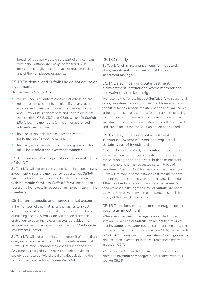breach of regulatory duty on the part of any company within the *Suffolk Life Group*, or the fraud, wilful misconduct, negligence or breach of regulatory duty of any of their employees or agents.

#### C5.10 Prudential and Suffolk Life do not advise on investments

Neither we nor *Suffolk Life*:

- will be under any duty to consider, or advise on, the general or specific merits or suitability of any actual or proposed *investment* or disposal. Subject to our and *Suffolk Life's* right of veto and right to disinvest (see sections C5.6, C5.7 and C5.8), we and/or *Suffolk Life* follow the *member's* (or his or her authorised *adviser's*) instructions;
- have any responsibility in connection with the performance of investments; and
- have any responsibility for any advice given or action taken by an *adviser* or *investment manager*.

#### C5.11 Exercise of voting rights under investments of the SIF

*Suffolk Life* will not exercise voting rights in respect of any *investment* unless the *member* so requests, but *Suffolk*  Life are not under any obligation to vote in accordance with the *member's* wishes. *Suffolk Life* will not appoint a representative to vote in respect of any *investments* in the *member's SIF*.

#### C5.12 Term deposits and money market accounts

If the *member* tells us that he or she wishes to invest in a term deposit or money market account with a bank or building society, *Suffolk Life* will at their discretion endeavour to open the relevant account provided the account is in accordance with the current *SIPP Allowable Investments Leaflet.*

*Suffolk Life* will not enter into a term deposit of more than one year unless the bank or building society agrees that *Suffolk Life* may withdraw the deposit during the term. Any penalty charged by the relevant bank or building society as a result of withdrawal of a deposit during the term will be payable from the *member's SIF*.

#### C5.13 Custody

*Suffolk Life* will make arrangements for the custody of any *investments* which are not held by an *investment manager*.

#### C5.14 Delay in carrying out investment/ disinvestment instructions where member has not waived cancellation rights

We reserve the right to instruct *Suffolk Life* to suspend all or any investment and/or disinvestment transactions on the *SIF* if, for any reason, the *member* has not waived his or her right to cancel a contract for the payment of a single contribution or transfer-in. The implementation of any investment or disinvestment instructions will be delayed until such time as the cancellation period has expired.

#### C5.15 Delay in carrying out investment instructions where member has requested certain types of investment

As set out in section A7.4, the *member* agrees through the application form to waive in advance his or her cancellation rights on single contributions or transfersin where he or she has requested certain types of investment. Section A7.4 further states that we and/or *Suffolk Life* may in some instances ask the *member* to re-confirm that he or she waives such cancellation rights. If the *member* fails to re-confirm his or her agreement, then we reserve the right to instruct *Suffolk Life* not to carry out the relevant investment instructions until the expiry of the cancellation period.

#### C5.16 Directions to investment manager not to acquire an investment

Where an *investment manager* is appointed under section C6, we and/or *Suffolk Life* are entitled to direct that *investment manager* not to acquire an *investment* in the circumstances referred to in section C5.6, and we and/ or *Suffolk Life* may direct that *investment manager* not to dispose of an investment in the circumstances referred to in section C5.7.

We or *Suffolk Life* will tell the *member* if we or they direct the *investment manager* in accordance with this section C5.16.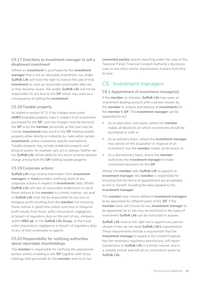#### <span id="page-28-0"></span>C5.17 Directions to investment manager to sell a disallowed investment

Where an *investment* is purchased by the *investment manager* that is not an allowable investment, we and/or *Suffolk Life* will have the right to instruct the sale of that *investment* as soon as reasonably practicable after we or they become aware. We and/or *Suffolk Life* will not be responsible for any loss to the *SIF* which may arise as a consequence of selling the *investment*.

#### C5.18 Taxable property

As stated in section A7.5, if tax charges arise under *HMRC's* taxable property rules in respect of an investment purchased for the *SIF*, such tax charges must be borne by the *SIF* or by the *member* personally as the case may be. Certain *investments* may result in the *SIF* holding taxable property either directly or indirectly (i.e. held within certain *investments* unless covered by specific exemptions). Taxable property may include residential property and physical assets, for example cars, art or stamps. Neither we nor *Suffolk Life* will be liable for any tax or scheme sanction charge arising from the *SIF* holding taxable property.

#### C5.19 Corporate actions

*Suffolk Life* may receive information from *investment managers* or *fund* providers notifying them of any corporate actions in respect of *investments* held. Whilst *Suffolk Life* will take all reasonable endeavours to send these notices to the *member* in a timely manner, we and/ or *Suffolk Life* shall not be responsible for any loss or foregone profit resulting from the *member* not receiving these notices in good time unless such loss or foregone profit results from fraud, wilful misconduct, negligence or breach of regulatory duty on the part of any company within *M&G plc* or the *Suffolk Life Group*, or the fraud, wilful misconduct, negligence or breach of regulatory duty of any of their employees or agents.

#### C5.20 Responsibility for notifying authorities about reportable shareholdings

The *member* is responsible for notifying the appropriate parties where a holding in the *SIF* together with those holdings held personally by the *member* and his or her

*connected parties* require reporting under the rules of the Takeover Panel, Financial Conduct Authority's disclosure rules or any other similar requirements in place from time to time.

# C6.  Investment managers

#### C6.1 Appointment of investment manager(s)

If the *member* so chooses, *Suffolk Life* may open an investment dealing account with a person chosen by the *member* to acquire and dispose of *investments* for the *member's SIF*. The *investment manager* can be appointed to act:

- on an execution-only basis, where the *member*  makes all decisions on which investments should be purchased or sold; or
- on an advisory basis, where the *investment manager*  may advise on the acquisition or disposal of an investment, but the *member* makes all decisions; or
- on a discretionary basis, where the *member*  authorises the *investment manager* to make investment decisions for the *SIF*.

Where the *member* asks *Suffolk Life* to appoint an *investment manager*, the *member* is responsible for ensuring that the terms of appointment are acceptable to him or herself, including the fees payable to the *investment manager*.

The *member* may choose different *investment managers*  to be appointed for different parts of the *SIF*. If the *member* does not choose for any *investment manager* to be appointed, he or she may be restricted in the types of investment *Suffolk Life* can be instructed to acquire.

*Suffolk Life* reserve the right not to appoint any person chosen if they do not meet *Suffolk Life's* requirements. These requirements include a requirement that the *investment manager* is based in the United Kingdom, has the necessary regulatory permissions, will report transactions to *Suffolk Life* in a timely manner and in a suitable format and will act on instructions given by *Suffolk Life*.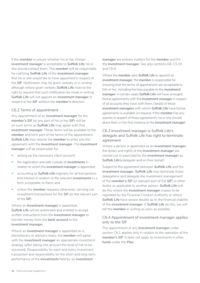If the *member* is unsure whether his or her chosen *investment manager* is acceptable to *Suffolk Life*, he or she should contact them. The *member* will be responsible for notifying *Suffolk Life* of the *investment manager*  that he or she would like to have appointed in respect of the *SIF*. Notification may be given verbally or in writing although where given verbally *Suffolk Life* reserve the right to request that such notification be made in writing. *Suffolk Life* will not appoint an *investment manager* in respect of the *SIF* without the *member's* direction.

#### C6.2 Terms of appointment

Any appointment of an *investment manager* for the *member's SIF* (or any part of his or her *SIF*) will be on such terms as *Suffolk Life* may agree with that *investment manager*. These terms will be available to the *member* and form part of the terms of the appointment. *Suffolk Life* may require the *member* to enter into the agreement with the *investment manager*. The *investment manager* will be responsible for:

- setting up the necessary client account;
- the registration and safe custody of *investments* in relation to which the *investment manager* is appointed;
- accounting to *Suffolk Life* regularly for all transactions and interest in relation to the relevant *investments* in a form acceptable to them; and
- unless the *member* requests otherwise, carrying out investment transactions for the *SIF* (or the relevant part of the *SIF*).

Where an *investment manager* is appointed, *Suffolk Life* will be authorised and entitled to accept written instructions from the *investment manager* to transfer money from the *bank account* to the *investment manager*.

Where an *investment manager* is appointed on a discretionary or advisory basis, the *member* will agree with the *investment manager* an appropriate investment strategy (after taking into account the level of risk to be assumed). Responsibility for each and every investment transaction and responsibility for the short and long-term performance of the *investments* held by an *investment* 

*manager* are entirely matters for the *member* and for the *investment manager*. See also sections A8, C5.10 and C6.9.

Where the *member* asks *Suffolk Life* to appoint an *investment manager*, the *member* is responsible for ensuring that the terms of appointment are acceptable to him or her, including the fees payable to the *investment manager*. In certain cases *Suffolk Life* will have arranged formal agreements with the *investment manager* in respect of all accounts they have with them. Details of those *investment managers* with whom *Suffolk Life* have formal agreements is available on request. If the *member* has any queries in respect of these agreements, he or she should direct them in the first instance to the *investment manager*.

#### C6.3 Investment manager is Suffolk Life's delegate and Suffolk Life has right to terminate agreement

Where a person is appointed as an *investment manager*, the duties and rights of the *investment manager* are carried out or exercised by the *investment manager* as *Suffolk Life's* delegate and on their behalf.

Subject to the agreement between *Suffolk Life* and the *investment manager*, *Suffolk Life* may terminate those delegations and delegate the investment management of the *member's SIF* (or relevant part of the *SIF*) or other duties as applicable to another person. *Suffolk Life* will do this where the *investment manager* ceases to be regulated by the Financial Conduct Authority or where **Suffolk Life** have severe doubts as to the financial stability of the *investment manager*. If *Suffolk Life* do this, we will tell the *member* in writing as soon as possible.

#### C6.4 Appointment of investment manager applies only to the SIF

The appointment of any *investment manager* under section C6.1 applies only in relation to the operation of the *member's SIF*. It does not apply to investments in other *funds* under the *Plan*.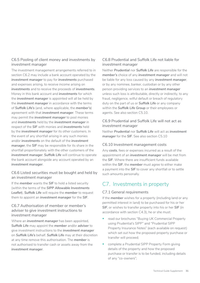#### <span id="page-30-0"></span>C6.5 Pooling of client money and investments by investment manager

The investment management arrangements referred to in section C6.2 may include a bank account operated by the *investment manager* to pay for *investments* purchased and expenses arising, to receive income arising on *investments* and to receive the proceeds of *investments*. Money in this bank account and *investments* for which the *investment manager* is appointed will all be held by the *investment manager* in accordance with the terms of *Suffolk Life's* (and, where applicable, the *member's*) agreement with that *investment manager*. These terms may permit the *investment manager* to pool monies and *investments* held by the *investment manager* in respect of the *SIF* with monies and *investments* held by the *investment manager* for its other customers. In the event of any shortfall arising in any such monies and/or *investments* on the default of the *investment manager*, the *SIF* may be responsible for its share in the shortfall proportionately with the other customers of the *investment manager*. *Suffolk Life* will continue to operate the bank account alongside any account operated by an *investment manager*.

#### C6.6 Listed securities must be bought and held by an investment manager

If the *member* wants the *SIF* to hold a listed security (within the terms of the *SIPP Allowable Investments Leaflet*), *Suffolk Life* will require the *member* to request them to appoint an *investment manager* for the *SIF*.

#### C6.7 Authorisation of member or member's adviser to give investment instructions to investment manager

Where an *investment manager* has been appointed, *Suffolk Life* may appoint the *member* and/or *adviser* to give investment instructions to the *investment manager*  on *Suffolk Life's* behalf. *Suffolk Life* may at their discretion at any time remove this authorisation. The *member* is not authorised to transfer cash or assets away from the *investment manager*.

#### C6.8 Prudential and Suffolk Life not liable for investment manager

Neither *Prudential* nor *Suffolk Life* are responsible for the *member's* choice of any *investment manager* and will not be liable for any loss caused by any *investment manager*, or by any nominee, banker, custodian or by any other person providing services to an *investment manager*  unless such loss is attributable, directly or indirectly, to any fraud, negligence, wilful default or breach of regulatory duty on the part of us or *Suffolk Life* or any company within the *Suffolk Life Group* or their employees or agents. See also section C5.10.

#### C6.9 Prudential and Suffolk Life will not act as investment manager

Neither *Prudential* nor *Suffolk Life* will act as *investment manager* for the *SIF*. See also section C5.10

#### C6.10 Investment management costs

Any *costs*, fees or expenses incurred as a result of the appointment of an *investment manager* will be met from the *SIF*. Where there are insufficient funds available within the *SIF*, the *member* must agree to either make a payment into the *SIF* to cover any shortfall or to settle such amounts personally.

# C7.  Investments in property

#### C7.1 General requirements

If the *member* wishes for a property (including land or any permitted interest in land) to be purchased for his or her *SIF*, or wishes to transfer property into his or her *SIF* (in accordance with section C4.3), he or she must:

- read our brochures "Buying UK Commercial Property using Prudential's SIPP" and "Prudential SIPP Property Insurance Notes" (each available on request) which set out how the proposed property purchase or transfer will proceed;
- complete a Prudential SIPP Property Form giving details of the property and how the proposed purchase or transfer is to be funded, including details of any "co-owners";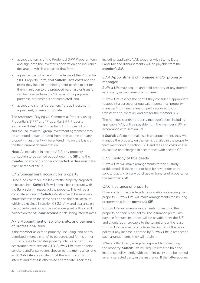- accept the terms of the Prudential SIPP Property Form and sign both the investor's declaration and insurance declaration which are part of that form;
- agree (as part of accepting the terms of the Prudential SIPP Property Form) that *Suffolk Life's costs* and the *costs* they incur in appointing third parties to act for them in relation to the proposed purchase or transfer will be payable from the *SIF* even if the proposed purchase or transfer is not completed; and
- accept and sign a "co-owners'" group investment agreement, where appropriate.

The brochures "Buying UK Commercial Property using Prudential's SIPP" and "Prudential SIPP Property Insurance Notes", the Prudential SIPP Property Form and the "co-owners'" group investment agreement may be amended and/or updated from time to time and any property investment will be entered into on the basis of the then current documentation.

**Note**: As explained in section A7.2, any property transaction to be carried out between the *SIF* and the *member* or any of his or her *connected parties* must take place at *market value*.

#### C7.2 Special bank account for property

Once funds are made available for the property proposed to be acquired, *Suffolk Life* will open a bank account with the *Bank* solely in respect of the property. This will be a corporate account of *Suffolk Life*. Any credit balance may attract interest on the same basis as on the bank account which is explained in section C3.2.2. Any credit balance on the property bank account is not aggregated with a credit balance on the *SIF bank account* in calculating interest rates.

#### A7.3 Appointment of solicitors etc. and payment of professional fees

If the *member* asks for a property (including land or any permitted interest in land) to be purchased for his or her *SIF*, or wishes to transfer property into his or her *SIF* in accordance with section C4.3, *Suffolk Life* may appoint solicitors and/or surveyors chosen by the *member* so long as *Suffolk Life* are satisfied that there is no conflict of interest and that it is otherwise appropriate. Their fees,

including applicable VAT, together with Stamp Duty Land Tax and disbursements will be payable from the *member's SIF*.

#### C7.4 Appointment of nominee and/or property manager

*Suffolk Life* may acquire and hold property or any interest in property in the name of a nominee.

**Suffolk Life** reserve the right if they consider it appropriate to appoint a surveyor or equivalent person (a "property manager") to manage any property acquired by, or transferred to, them as landlord for the *member's SIF*.

The nominee's and/or property manager's fees, including applicable VAT, will be payable from the *member's SIF* in accordance with section C9.

If *Suffolk Life* do not make such an appointment, they will manage the property on the terms detailed in the property form mentioned in section C7.1 and fees and *costs* will be calculated and charged in accordance with section C9.

#### C7.5 Custody of title deeds

*Suffolk Life* will make arrangements for the custody of title deeds if these are not held by any lender or the solicitors acting on any purchase or transfer of property for the *member's SIF*.

#### C7.6 Insurance of property

Unless a third party is legally responsible for insuring the property, *Suffolk Life* will make arrangements for insuring property held in the *member's SIF*.

*Suffolk Life* will make arrangements for insuring the property on their block policy. The insurance premiums payable for such insurance will be payable from the *SIF*  and should be chargeable to the tenant under the lease. *Suffolk Life* receive income from the insurer of the block policy. If any income is earned by *Suffolk Life* in respect of such arrangements, they will retain it.

Where a third party is legally responsible for insuring the property, *Suffolk Life* will require either to hold the insurance policy jointly with the third party or to be named as an interested party in the insurance. If the latter applies,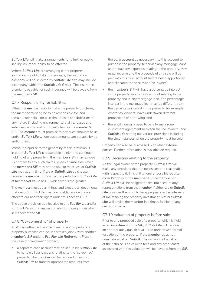*Suffolk Life* will make arrangements for a further public liability insurance policy to be effected.

Where *Suffolk Life* are arranging either property insurance or public liability insurance, the insurance company will be selected by *Suffolk Life* and may include a company within the *Suffolk Life Group*. The insurance premiums payable for such insurance will be payable from the *member's SIF*.

#### C7.7 Responsibility for liabilities

When the *member* asks to make the property purchase, the *member* must agree to be responsible for, and remain responsible for all claims, losses and *liabilities* of any nature (including environmental claims, losses and *liabilities*) arising out of property held in the *member's SIF*. The *member* must promise to pay such amounts to us and/or *Suffolk Life* where such amounts are payable by us and/or them.

Without prejudice to the generality of this provision, if in our or *Suffolk Life's* reasonable opinion the continued holding of any property in the *member's SIF* may expose us or them to any such claims, losses or *liabilities* which the *member's SIF* may not be able to meet, we or *Suffolk Life* may at any time, if we or *Suffolk Life* so choose, require the *member* to buy that property from *Suffolk Life*  at fair *market value* or £1, whichever is the greater.

The *member* must do all things and execute all documents that we or *Suffolk Life* may reasonably require to give effect to our and their rights under this section C7.7.

The above provision applies also to any *liability* we and/or **Suffolk Life** incur in respect of any borrowing undertaken in respect of the *SIF*.

#### C7.8 "Co-ownership" of property

A *SIF* can either be the sole investor in a property or a property purchase can be undertaken jointly with another *member's SIF* under a *Pru Flexible Retirement Plan*. In the case of "co-owned" property:

• a separate cash account may be set up by *Suffolk Life*  to handle all transactions relating to the "co-owned" property. The *member* will be required to instruct *Suffolk Life* to transfer appropriate amounts from

the *bank account* as necessary into this account to purchase the property, to service any mortgage loans and to pay any expenses relating to the property. Any rental income and the proceeds of any sale will be paid into this cash account before being apportioned and allocated to the relevant "co-owner";

- the **member's SIF** will have a percentage interest in the property, in any cash account relating to the property and in any mortgage loan. The percentage interest in the mortgage loan may be different from the percentage interest in the property, for example where "co-owners" have undertaken different proportions of borrowing; and
- there will normally need to be a formal group investment agreement between the "co-owners" and *Suffolk Life* setting out various provisions including the circumstances when the property must be sold.

Property can also be purchased with other external parties. Further information is available on request.

#### C7.9 Decisions relating to the property

As the legal owner of the property, *Suffolk Life* will make any decisions that are necessary and reasonable with respect to it. This will wherever possible be after consultation with the *member*. But neither we nor *Suffolk Life* will be obliged to take into account any representations from the *member* if either we or *Suffolk Life* consider them not to be appropriate in the interests of maintaining the property investment. We or *Suffolk Life* will advise the *member* in a timely fashion of any decisions made.

#### C7.10 Valuation of property before sale

Prior to any proposed sale of a property which is held as an *investment* of the *SIF*, *Suffolk Life* will require an appropriately qualified valuer to undertake a formal valuation of the property. If the *member* does not nominate a valuer, *Suffolk Life* will appoint a valuer of their choice. The valuer's fees and any other *costs*  associated with the valuation will be payable from the *SIF*.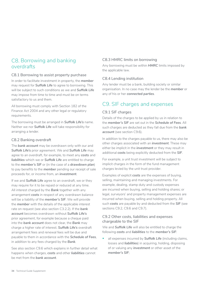# <span id="page-33-0"></span>C8. Borrowing and banking overdrafts

#### C8.1 Borrowing to assist property purchase

In order to facilitate investment in property, the *member*  may request for *Suffolk Life* to agree to borrowing. This will be subject to such conditions as we and *Suffolk Life*  may impose from time to time and must be on terms satisfactory to us and them.

All borrowing must comply with Section 182 of the Finance Act 2004 and any other legal or regulatory requirements.

The borrowing must be arranged in *Suffolk Life's* name. Neither we nor *Suffolk Life* will take responsibility for arranging a lender.

#### C8.2 Banking overdraft

The *bank account* may be overdrawn only with our and *Suffolk Life's* prior agreement. We and *Suffolk Life* may agree to an overdraft, for example, to meet any *costs* and liabilities which we or Suffolk Life are entitled to charge to the *member's SIF* or (in the case of a *drawdown plan*) to pay benefits to the *member* pending our receipt of sale proceeds for, or income from, an *investment*.

If we and *Suffolk Life* agree to an overdraft, we or they may require for it to be repaid or reduced at any time. All interest charged by the *Bank* together with any arrangement *costs* in respect of any overdrawn balance will be a liability of the *member's SIF*. We will provide the *member* with the details of the applicable interest rate on request (see also section C3.2.2). If the *bank account* becomes overdrawn without *Suffolk Life's*  prior agreement, for example because a cheque paid into the *bank account* does not clear, the *Bank* may charge a higher rate of interest. *Suffolk Life's* overdraft arrangement fees and renewal fees will be due and payable to them in accordance with the *Schedule of Fees*, in addition to any fees charged by the *Bank*.

See also section C9.6 which explains in further detail what happens when charges, *costs* and other *liabilities* cannot be met from the *bank account*.

#### C8.3 HMRC limits on borrowing

Any borrowing must be within *HMRC* limits imposed by the applicable law.

#### C8.4 Lending institution

Any lender must be a bank, building society or similar organisation. In no case may the lender be the *member* or any of his or her *connected parties*.

# C9. SIF charges and expenses

#### C9.1 SIF charges

Details of the charges to be applied by us in relation to the *member's SIF* are set out in the *Schedule of Fees*. All such charges are deducted as they fall due from the *bank account* (see section C9.6).

In addition to the charges payable to us, there may also be other charges associated with an *investment*. These may either be implicit in the *investment* or they may result in additional *costs* being explicitly deducted from the *SIF*.

For example, a unit trust investment will be subject to implicit charges in the form of the fund management charges levied by the unit trust provider.

Examples of explicit *costs* are the expenses of buying, selling, maintaining and managing investments. For example, dealing, stamp duty and custody expenses are incurred when buying, selling and holding shares; or legal, surveyors' and property management expenses are incurred when buying, selling and holding property. All such *costs* are payable by and deducted from the *SIF* (see sections C9.2, C9.6 and C9.7).

#### C9.2 Other costs, liabilities and expenses chargeable to the SIF

We and *Suffolk Life* will also be entitled to charge the following *costs* and *liabilities* to the *member's SIF*:

• all expenses incurred by *Suffolk Life* (including claims, losses and *liabilities*) in acquiring, holding, disposing of or valuing any *investment* or other asset of the *member's SIF*;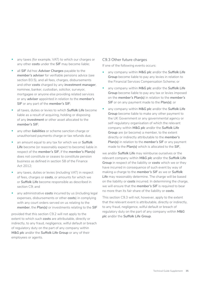- any taxes (for example, VAT) to which our charges or any other *costs* under the *SIF* may become liable;
- all *SIF* Ad hoc *Adviser Charges* payable to the *member's adviser* for verifiable pensions advice (see section B3.5), and all fees, charges, disbursements and other *costs* charged by any *investment manager*, nominee, banker, custodian, solicitor, surveyor, mortgagee or anyone else providing related services or any *adviser* appointed in relation to the *member's SIF* or any part of the *member's SIF*;
- all taxes, duties or levies to which *Suffolk Life* become liable as a result of acquiring, holding or disposing of any *investment* or other asset allocated to the *member's SIF*;
- any other *liabilities* or scheme sanction charge or unauthorised payments charge or tax refunds due;
- an amount equal to any tax for which we or *Suffolk*  Life become (or reasonably expect to become) liable in respect of the *member's SIF*, if the *member's Plan(s)*  does not constitute or ceases to constitute pension business as defined in section 58 of the Finance Act 2012;
- any taxes, duties or levies (including VAT) in respect of fees, charges or *costs*, or amounts for which we or *Suffolk Life* become responsible as described in section C9; and
- any administrative **costs** incurred by us (including legal expenses, disbursements or other *costs*) in complying with any court orders served on us relating to the *member*, the *Plan(s)* or investments relating to the *SIF*

provided that this section C9.2 will not apply to the extent to which such *costs* are attributable, directly or indirectly, to any fraud, negligence, wilful default or breach of regulatory duty on the part of any company within *M&G plc* and/or the *Suffolk Life Group* or any of their employees or agents.

#### C9.3 Other future charges

If one of the following events occurs:

- any company within *M&G plc* and/or the *Suffolk Life Group* become liable to pay any levies in relation to the Financial Services Compensation Scheme; or
- any company within *M&G plc* and/or the *Suffolk Life*  Group become liable to pay any tax or levies imposed on the *member's Plan(s)* in relation to the *member's SIF* or on any payment made to the *Plan(s)*; or
- any company within *M&G plc* and/or the *Suffolk Life Group* become liable to make any other payment to the UK Government or any governmental agency or self-regulatory organisation of which the relevant company within *M&G plc* and/or the *Suffolk Life Group* are (or become) a member, to the extent directly or indirectly attributable to the *member's*  **Plan(s)** in relation to the **member's SIF** or any payment made to the *Plan(s)* which is allocated to the *SIF*,

we and/or *Suffolk Life* may reimburse ourselves or the relevant company within *M&G plc* and/or the *Suffolk Life*  Group in respect of the liability or **costs** which we or they have incurred in consequence of such event by way of making a charge to the *member's SIF* as we or *Suffolk*  Life may reasonably determine. The charge will be based on the liability or *costs* incurred. In determining the charge, we will ensure that the *member's SIF* is required to bear no more than its fair share of the liability or *costs*.

This section C9.3 will not, however, apply to the extent that the relevant event is attributable, directly or indirectly, to any fraud, negligence, wilful default or breach of regulatory duty on the part of any company within *M&G plc* and/or the *Suffolk Life Group*.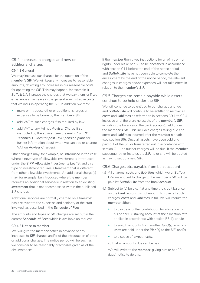#### C9.4 Increases in charges and new or additional charges

#### **C9.4.1 General**

We may increase our charges for the operation of the *member's SIF*. We will keep any increases to reasonable amounts, reflecting any increases in our reasonable *costs*  for operating the *SIF*. This may happen, for example, if **Suffolk Life** increase the charges that we pay them, or if we experience an increase in the general administrative *costs*  that we incur in operating the *SIF*. In addition, we may:

- make or introduce other or additional charges or expenses to be borne by the *member's SIF*;
- add VAT to such charges if so required by law;
- add VAT to any Ad hoc *Adviser Charge* if so instructed by the *adviser* (see the *main Pru FRP Technical Guides* for *post-RDR pension plans* for further information about when we can add or change VAT on *Adviser Charges*).

Other charges may, for example, be introduced in the case where a new type of allowable investment is introduced under the *SIPP Allowable Investments Leaflet* and this type of investment requires a treatment that is different from other allowable investments. An additional charge(s) may, for example, be introduced where the *member*  requests an additional service(s) in relation to an existing *investment* that is not encompassed within the published SIF charges.

Additional services are normally charged on a time/cost basis relevant to the expertise and seniority of the staff involved, as described in the *Schedule of Fees*.

The amounts and types of *SIF* charges are set out in the current *Schedule of Fees* which is available on request.

#### **C9.4.2 Notice to member**

We will give the *member* notice in advance of any increases to *SIF* charges and/or of the introduction of other or additional charges. The notice period will be such as we consider to be reasonably practicable given all of the circumstances.

If the *member* then gives instructions for all of his or her rights under his or her *SIF* to be encashed in accordance with section C11 before the end of the notice period and *Suffolk Life* have not been able to complete the encashment by the end of the notice period, the relevant changes in charges and/or expenses will not take effect in relation to the *member's SIF*.

#### C9.5 Charges etc. remain payable while assets continue to be held under the SIF

We will continue to be entitled to our charges and we and *Suffolk Life* will continue to be entitled to recover all *costs* and *liabilities* as referred to in sections C9.1 to C9.4 inclusive until there are no assets of the *member's SIF*, including the balance on the *bank account*, held under the *member's SIF*. This includes charges falling due and *costs* and *liabilities* incurred after the *member's* death (see section B6). Once all assets have been sold and paid out of the *SIF* or transferred out in accordance with section C11, no further charges will be due. If the *member*  subsequently re-instates the *SIF*, he or she will be treated as having set up a new *SIF*.

#### C9.6 Charges etc. payable from bank account

- (a) All charges, *costs* and *liabilities* which we or *Suffolk Life* are entitled to charge to the *member's SIF* will be paid by *Suffolk Life* from the *bank account*.
- (b) Subject to (c) below, if at any time the credit balance on the *bank account* is not enough to cover all such charges, *costs* and *liabilities* in full, we will require the *member* either:
	- to pay us a further contribution for allocation to his or her *SIF* (taking account of the allocation rate applied in accordance with section B3.4); and/or
	- to switch amounts from another *fund(s)* in which *units* are held under the *Plan(s)* to the *SIF*; and/or
	- to dispose of *investments*;

so that all amounts due can be paid.

We will write to the *member*, giving him or her 30 days' notice to do this.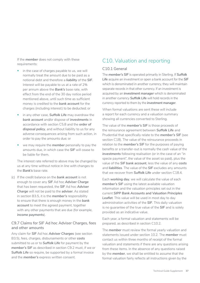<span id="page-36-0"></span>If the *member* does not comply with these requirements:

- in the case of charges payable to us, we will normally treat the amount due to be paid as a notional debt and therefore a *liability* of the *SIF*. Interest will be payable to us at a rate of 2% per annum above the *Bank's* base rate, with effect from the end of the 30 day notice period mentioned above, until such time as sufficient money is credited to the *bank account* for the charges (including interest) to be deducted; or
- in any other case, *Suffolk Life* may overdraw the *bank account* and/or dispose of *investments* in accordance with section C5.8 and the *order of disposal policy*, and without liability to us for any adverse consequences arising from such action, in order to pay the amounts due; or
- we may require the *member* personally to pay the amounts due, in which case the *SIF* will cease to be liable for them.

The interest rate referred to above may be changed by us at any time without notice in line with changes to the *Bank's* base rate.

(c) If the credit balance on the *bank account* is not enough to cover any *SIF* Ad hoc *Adviser Charge*  that has been requested, the *SIF* Ad hoc *Adviser Charge* will not be paid to the *adviser*. As stated in section B3.5, it is the *member's* responsibility to ensure that there is enough money in the *bank account* to meet the agreed payment, together with any other payments that are due (for example, *income payments*).

#### C9.7 Claims for SIF Ad hoc Adviser Charges, fees and other amounts

Any claim for *SIF* Ad hoc *Adviser Charges* (see section B3.5), fees, charges, disbursements or other *costs*  submitted to us or to *Suffolk Life* for payment by the *member's SIF* as described in section C9.2 must, if we or *Suffolk Life* so require, be supported by a formal invoice and the *member's* express written consent.

# C10. Valuation and reporting

#### C<sub>10</sub>1
General

The *member's SIF* is operated primarily in Sterling. If *Suffolk Life* acquire an investment or open a bank account for the *SIF*  which is denominated in another currency, they will maintain separate records in that other currency. If an investment is acquired by an *investment manager* which is denominated in another currency *Suffolk Life* will hold records in the currency reported to them by the *investment manager*.

When formal valuations are sent these will include a report for each currency and a valuation summary showing all currencies converted to Sterling.

The value of the *member's SIF* is those proceeds of the reinsurance agreement between *Suffolk Life* and Prudential that specifically relate to the *member's SIF* (see section C18). The value of the reinsurance proceeds in relation to the *member's SIF* for the purposes of paying benefits or a transfer-out is normally the cash value of the *investments* following realisation (or in the case of an "in specie payment", the value of the asset so paid), plus the value of the *SIF bank account*, less the value of any *costs*  and *liabilities*. The value of the *SIF* excludes any amounts that we recover from *Suffolk Life* under section C18.4.

Each *working day*, we will calculate the value of each *member's SIF* using the latest available valuation information and the valuation principles set out in the current *SIPP Bank Accounts and Valuation Principles Leaflet*. This value will be used in most day to day administration activities of the *SIF*. This daily valuation is no guarantee of the true value of the *SIF* and is solely provided as an indicative value.

Each year, a formal valuation and statements will be prepared, as described in section C10.2.

The *member* must review the formal yearly valuation and statements issued under section 10.2. The *member* must contact us within three months of receipt of the formal valuation and statements if there are any questions arising from these items. In the absence of any questions raised by the *member*, we shall be entitled to assume that the formal valuation fairly reflects all instructions given by the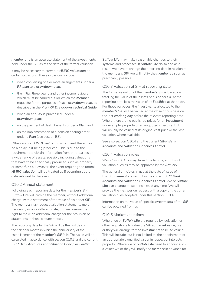*member* and is an accurate statement of the *investments*  held under the *SIF* as at the date of the formal valuation.

It may be necessary to carry out *HMRC valuations* on certain occasions. These occasions include:

- when converting one or more arrangements under a *PP plan* to a *drawdown plan*;
- the initial, three yearly and other income reviews which must be carried out (or which the *member*  requests) for the purposes of each *drawdown plan*, as described in the *Pru FRP Drawdown Technical Guide*;
- when an *annuity* is purchased under a *drawdown plan*;
- on the payment of death benefits under a *Plan*; and
- on the implementation of a pension sharing order under a *Plan* (see section B8).

When such an *HMRC valuation* is required there may be a delay in it being produced. This is due to the requirement to obtain information from third parties on a wide range of assets, possibly including valuations that have to be specifically produced such as property or some *funds*. However, the event requiring the formal *HMRC valuation* will be treated as if occurring at the date relevant to the event.

#### C10.2 Annual statement

Following each reporting date for the *member's SIF*, *Suffolk Life* will provide the *member*, without additional charge, with a statement of the value of his or her *SIF*. The *member* may request valuation statements more frequently or on a different date, but we reserve the right to make an additional charge for the provision of statements in those circumstances.

The reporting date for the *SIF* will be the first day of the calendar month in which the anniversary of the establishment of the *member's SIF* falls. The value will be calculated in accordance with section C10.3 and the current *SIPP Bank Accounts and Valuation Principles Leaflet*.

*Suffolk Life* may make reasonable changes to their systems and processes. If *Suffolk Life* do so and as a result, we have to change the reporting date in relation to the *member's SIF*, we will notify the *member* as soon as practicably possible.

#### C10.3 Valuation of SIF at reporting date

The formal valuation of the *member's SIF* is based on totalling the value of the assets of his or her *SIF* at the reporting date less the value of its *liabilities* at that date. For these purposes, the *investments* allocated to the *member's SIF* will be valued at the close of business on the last *working day* before the relevant reporting date. Where there are no published prices for an *investment*  (for example, property or an unquoted investment) it will usually be valued at its original cost price or the last valuation where available.

See also section C10.4 and the current *SIPP Bank Accounts and Valuation Principles Leaflet*.

#### C10.4 Valuation rules

We or *Suffolk Life* may, from time to time, adopt such valuation rules as may be approved by the *Actuary*.

The general principles in use at the date of issue of this *Supplement* are set out in the current *SIPP Bank Accounts and Valuation Principles Leaflet*. We or *Suffolk*  Life can change these principles at any time. We will provide the *member* on request with a copy of the current valuation rules adopted under this section C10.4.

Information on the value of specific *investments* of the *SIF*  can be obtained from us.

#### C10.5 Market valuations

Where we or *Suffolk Life* are required by legislation or other regulations to value the *SIF* at *market value*, we or they will arrange for the *investments* to be so valued. This will include, but is not limited to, the appointment of an appropriately qualified valuer in respect of interests in property. Where we or *Suffolk Life* need to appoint such a valuer we or they will notify the *member* in advance for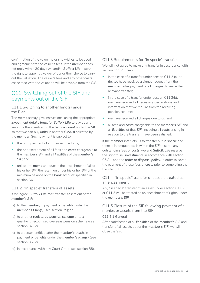<span id="page-38-0"></span>confirmation of the valuer he or she wishes to be used and agreement to the valuer's fees. If the *member* does not reply within 30 days we and/or *Suffolk Life* reserve the right to appoint a valuer of our or their choice to carry out the valuation. The valuer's fees and any other *costs*  associated with the valuation will be payable from the *SIF*.

### C11. Switching out of the SIF and payments out of the SIF

#### C11.1 Switching to another fund(s) under the Plan

The *member* may give instructions, using the appropriate *investment details form*, for *Suffolk Life* to pay us any amounts then credited to the *bank account* under the *SIF*  so that we can buy *units* in another *fund(s)* selected by the *member*. Such payment is subject to:

- the prior payment of all charges due to us;
- the prior settlement of all fees and *costs* chargeable to the *member's SIF* and all *liabilities* of the *member's SIF*; and
- unless the *member* requests the encashment of all of his or her *SIF*, the retention under his or her *SIF* of the minimum balance on the *bank account* specified in section A6.

#### C11.2 "In specie" transfers of assets

If we agree, *Suffolk Life* may transfer assets out of the *member's SIF*:

- (a) to the *member*, in payment of benefits under the *member's Plan(s)* (see section B5); or
- (b) to another *registered pension scheme* or to a qualifying recognised overseas pension scheme (see section B7); or
- (c) to a person entitled after the *member's* death, in payment of benefits under the *member's Plan(s)* (see section B6); or
- (d) in accordance with any Court Order (see section B8).

#### C11.3 Requirements for "in specie" transfer

We will not agree to make any transfer in accordance with section C11.2 unless:

- in the case of a transfer under section C11.2 (a) or (b), we have received a signed request from the *member* (after payment of all charges) to make the relevant transfer;
- in the case of a transfer under section  $C11.2(b)$ , we have received all necessary declarations and information that we require from the receiving pension scheme;
- we have received all charges due to us; and
- all fees and *costs* chargeable to the *member's SIF* and all *liabilities* of that *SIF* (including all *costs* arising in relation to the transfer) have been satisfied.

If the *member* instructs us to transfer out *in specie* and there is inadequate cash within the *SIF* to settle any outstanding fees or *costs*, we and *Suffolk Life* reserve the right to sell *investments* in accordance with section C5.8.1 and the *order of disposal policy*, in order to cover the payment of those fees or *costs* prior to completing the transfer out.

#### C11.4  "In specie" transfer of asset is treated as an encashment

Any "in specie" transfer of an asset under section C11.2 or C11.3 will be treated as an encashment of rights under the *member's SIF*.

C11.5 Closure of the SIF following payment of all monies or assets from the SIF

#### **C11.5.1 General**

After satisfaction of all *liabilities* of the *member's SIF* and transfer of all assets out of the *member's SIF*, we will close the *SIF*.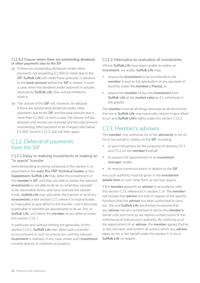#### <span id="page-39-0"></span>**C11.5.2 Closure where there are outstanding dividends or other payments due to the SIF**

- (a) If there are outstanding dividends and/or other payments not exceeding £1,000 (in total) due to the *SIF*, *Suffolk Life* will credit these amounts in advance to the *bank account* before the *SIF* is closed. In such a case, when the dividend and/or payment is actually received by *Suffolk Life*, they will be entitled to retain it.
- (b) The closure of the *SIF* will, however, be delayed if there are outstanding dividends and/or other payments due to the *SIF* and the total amount due is more than £1,000. In such a case, the closure will be delayed until monies are received and the total amount outstanding (after payment of all charges) falls below £1,000. Section C11.5.2(a) will then apply.

# C12. Deferral of payments from the SIF

#### C12.1 Delay in realising investments or making an "in specie" transfer

Notwithstanding anything contained in this section C or elsewhere in the *main Pru FRP Technical Guides* or this *Supplement*, *Suffolk Life* may defer the encashment of the *member's SIF* until they are able to realise the relevant *investments* or are able to do so on what they consider to be reasonable terms, and have received the cleared funds. *Suffolk Life* may also defer the transfer of all of any *investments* under section C11 where it is impracticable or impossible to give effect to the transfer, until it becomes practicable or possible (as appropriate) to do so. We, or *Suffolk Life*, will inform the *member* of any deferral under this section C12.1

In particular and without limiting the generality of this section C12.1, *Suffolk Life* may defer such a transfer or encashment in such circumstances until the relevant *investment* is realised, in any case where such *investment*  consists directly or indirectly of property.

#### C12.2 Alternative to realisation of investments

Where *Suffolk Life* have been unable to realise an *investment*, we and/or *Suffolk Life* may:

- require the *investment* to be transferred to the *member* in part or full satisfaction of any payment of benefits under the *member's Plan(s)*; or
- require the *member* to buy the *investment* from *Suffolk Life* at fair *market value* or £1, whichever is the greater.

The *member* must do all things and execute all documents that we or *Suffolk Life* may reasonably require to give effect to our and *Suffolk Life's* rights under this section C12.2.

# C13. Member's advisers

The *member* may authorise his or her *adviser(s)* to act on his or her behalf in relation to the *SIF*, including:

- to give instructions for the purposes of sections C5.1 and C5.2 on the *member's* behalf;
- to request the appointment of an *investment manager*; and/or
- to receive communications in relation to the *SIF*.

Any such authority must be given in the *investment details form* or such other form as we may require.

If the *member* appoints an *adviser* in accordance with this section C13, references in section C to "the *member*" will include that *adviser* but only in respect of the specific functions that the *adviser* has been authorised to carry out. We and *Suffolk Life* are entitled to assume that any *adviser* remains authorised to act on the *member's*  behalf until such time as we receive written notice of the withdrawal of that person's authority. By notifying us of the appointment of an *adviser*, the *member* agrees that he or she will ratify and confirm all actions which any *adviser*  takes on his or her behalf under this section C if we or *Suffolk Life* so require.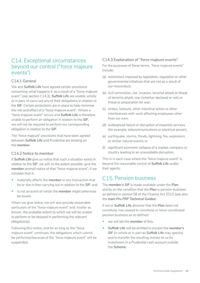# <span id="page-40-0"></span>C14. Exceptional circumstances beyond our control ("force majeure events")

#### C14.1 General

We and *Suffolk Life* have agreed certain provisions concerning what happens if, as a result of a "force majeure event" (see section C14.3), *Suffolk Life* are unable, wholly or in part, to carry out any of their obligations in relation to the *SIF*. Certain protections are in place to help minimise the risk and effect of a "force majeure event". Where a "force majeure event" occurs and *Suffolk Life* is therefore unable to perform an obligation in relation to the *SIF*, we will not be required to perform our corresponding obligation in relation to the *SIF*.

The "force majeure" provisions that have been agreed between *Suffolk Life* and Prudential are binding on the *member.*

#### C14.2 Notice to member

If *Suffolk Life* give us notice that such a situation exists in relation to the *SIF*, we will, to the extent possible, give the *member* prompt notice of that "force majeure event", if we consider that it:

- materially affects the *member* or any transaction that he or she is then carrying out in relation to the *SIF*; and
- is not an event of which the *member* might otherwise be aware.

When we give notice, we will also provide reasonable particulars of the "force majeure event" and, insofar as known, the probable extent to which we will be unable to perform or be delayed in performing the relevant obligation(s).

Following this notice, and for as long as the "force majeure event" continues, the obligations which cannot be performed because of the "force majeure event" will be suspended.

#### C14.3 Explanation of "force majeure events"

For the purposes of these terms, "force majeure events" include:

- (a) restrictions imposed by legislation, regulation or other governmental initiatives that are not as a result of our misconduct;
- (b) civil commotion, riot, invasion, terrorist attack or threat of terrorist attack, war (whether declared or not) or threat or preparation for war;
- (c) strikes, lockouts, other industrial action or other interferences with work affecting employees other than our own;
- (d) widespread failure or disruption of essential services (for example, telecommunications or electrical power);
- (e) earthquake, storms, floods, lightning, fire, explosions or similar natural events; or
- (f) significant economic collapse of a market, company or country leading to an unavoidable disruption.

This is in each case where the "force majeure event" is beyond the reasonable control of *Suffolk Life* and/or their agents.

# C<sub>15</sub> Pension business

The *member's SIF* is made available under the *Plan*  strictly on the condition that the *Plan* is pension business as defined in section 58 of the Finance Act 2012 (see also the *main Pru FRP Technical Guides*).

If we or *Suffolk Life* discover that the *Plan* does not constitute, has ceased to constitute or never constituted pension business as so defined:

- we will tell the *member* of this;
- *Suffolk Life* will be entitled to encash the *member's*  **SIF** (in whole or in part as **Suffolk Life** may specify) and to transfer the resulting monies to us for investment in a Prudential cash account outside the *Scheme*;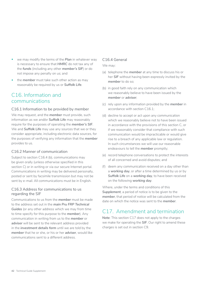- <span id="page-41-0"></span>• we may modify the terms of the *Plan* in whatever way is necessary to ensure that *HMRC* do not tax any of the *funds* (including any other *member's SIF*) or do not impose any penalty on us; and
- the *member* must take such other action as may reasonably be required by us or *Suffolk Life*.

# C<sub>16</sub>. Information and communications

#### C16.1 Information to be provided by member

We may request, and the *member* must provide, such information as we and/or *Suffolk Life* may reasonably require for the purposes of operating the *member's SIF*. We and *Suffolk Life* may use any sources that we or they consider appropriate, including electronic data sources, for the purposes of verifying any information that the *member*  provides to us.

#### C16.2 Manner of communication

Subject to section C16.4 (b), communications may be given orally (unless otherwise specified in this section C) or in writing or via our secure Internet portal. Communications in writing may be delivered personally, posted or sent by facsimile transmission but may not be sent by e-mail. All communications must be in English.

#### C16.3 Address for communications to us regarding the SIF

Communications to us from the *member* must be made to the address set out in the *main Pru FRP Technical Guides* (or any other address which we may from time to time specify for this purpose to the *member*). Any communication in writing from us to the *member* or *adviser* will be sent to the relevant address provided in the *investment details form* until we are told by the *member* that he or she, or his or her *adviser*, would like communications sent to a different address.

#### C16.4 General

#### We may:

- (a) telephone the *member* at any time to discuss his or her *SIF* without having been expressly invited by the *member* to do so;
- (b) in good faith rely on any communication which we reasonably believe to have been issued by the *member* or *adviser*;
- (c) rely upon any information provided by the *member* in accordance with section C16.1;
- (d) decline to accept or act upon any communication which we reasonably believe not to have been issued in accordance with the provisions of this section C, or if we reasonably consider that compliance with such communication would be impracticable or would give rise to a breach of any applicable law or regulation. In such circumstances we will use our reasonable endeavours to tell the *member* promptly;
- (e) record telephone conversations to protect the interests of all concerned and avoid disputes; and
- (f) deem any communication received on a day other than a *working day*, or after a time determined by us or by *Suffolk Life* on a *working day*, to have been received on the following *working day*.

Where, under the terms and conditions of this *Supplement*, a period of notice is to be given to the *member*, that period of notice will be calculated from the date on which the notice was sent to the *member*.

# C17.  Amendment and termination

**Note**: This section C17 does not apply to the charges we make for operating the *SIF*. Our right to amend these charges is set out in section C9.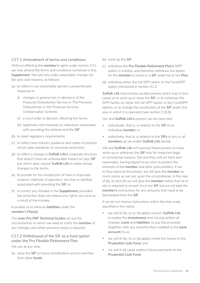#### C17.1 Amendment of terms and conditions

Without affecting the *member's* rights under section C11, we may amend the terms and conditions contained in this *Supplement*. We will only make reasonable changes for fair and valid reasons, as follows:

- (a) to reflect in our reasonable opinion a proportionate response to:
	- (i) changes in general law or decisions of the Financial Ombudsman Service or The Pensions Ombudsman or the Financial Services Compensation Scheme;
	- (ii) a court order or decision affecting the terms;
	- (iii) legitimate cost increases or reductions associated with providing the scheme and the *SIF*.
- (b) to meet regulatory requirements;
- (c) to reflect new industry guidance and codes of practice which raise standards of consumer protection;
- (d) to reflect a change in **Suffolk Life's** corporate structure that doesn't have an unfavourable impact on your *SIF*  but which does require *Suffolk Life* to make certain changes to the terms;
- (e) to provide for the introduction of new or improved systems, methods of operation, services or facilities associated with providing the *SIF*; or
- (f) to correct any mistake in the *Supplement*, provided the correction does not reduce any rights you have as a result of the mistake.

#### to enable us to reinsure *liabilities* under the *member's Plan(s)*.

The *main Pru FRP Technical Guides* set out the circumstances in which we need to notify the *member* of any changes and when advance notice is required.

C17.2 Withdrawal of the SIF as a fund option under the Pru Flexible Retirement Plan

We can at any time:

(a) close the *SIF* to future contributions and to switches from other *funds*;

- (b) wind up the *SIF*;
- (c) withdraw the *Pru Flexible Retirement Plan's* SIPP option in entirety, and therefore withdraw the option for the *member* to invest in a *SIF* under his or her *Plan*;
- (d) withdraw either the full SIPP option or the FundSIPP option mentioned in section A1.2.

*Suffolk Life* have similar parallel powers which may in turn cause us to wind up or close the *SIF*, or to withdraw the SIPP facility (or either the full SIPP option or the FundSIPP option), or to change the constitution of the *SIF* and/or the way in which it is operated (see section C18.6).

Our and *Suffolk Life's* powers can be exercised:

- individually, that is, in relation to the *SIF* of an individual *member*; or
- collectively, that is, in relation to the *SIFs* of any or all *members* as we and/or *Suffolk Life* decide.

We and *Suffolk Life* will exercise these powers to close, wind-up or withdraw the *SIF* only for important legal or commercial reasons. We and they will act fairly and reasonably, having regard to our duty to protect the interests of the *member* and other policyholders. If we or they exercise this power, we will give the *member* as much notice as we can, given the circumstances. In the case of (b), (c) and (d) we will give the *member* notice that he or she is required to encash his or her *SIF* and we will seek the *member's* instructions for any amounts that need to be disinvested from the *SIF*.

If we do not receive instructions within the time scale specified in the notice:

- we will (if (b), (c) or (d) apply) instruct *Suffolk Life*  to realise the *investments* and, having settled all charges, *costs* and *liabilities*, to pay the proceeds (together with any amounts then credited to the *bank account*) to us;
- we will (if (b), (c) or (d) apply) invest the money in the *Prudential Cash Fund*; and
- we will in all cases redirect future payments to the *Prudential Cash Fund*.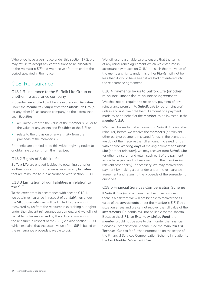<span id="page-43-0"></span>Where we have given notice under this section 17.2, we may refuse to accept any contributions to be allocated to the *member's SIF* that we receive after the end of the period specified in the notice.

# C<sub>18</sub> Reinsurance

#### C18.1 Reinsurance to the Suffolk Life Group or another life assurance company

Prudential are entitled to obtain reinsurance of *liabilities*  under the *member's Plan(s)* from the *Suffolk Life Group*  (or any other life assurance company) to the extent that such *liabilities*:

- are linked either to the value of the *member's SIF* or to the value of any assets and *liabilities* of the *SIF*; or
- relate to the provision of any *annuity* from the proceeds of the *member's SIF*.

Prudential are entitled to do this without giving notice to or obtaining consent from the *member*.

#### C18.2 Rights of Suffolk Life

*Suffolk Life* are entitled (subject to obtaining our prior written consent) to further reinsure all or any *liabilities*  that are reinsured to it in accordance with section C18.1.

#### C18.3 Limitation of our liabilities in relation to the SIF

To the extent that in accordance with section C18.1, we obtain reinsurance in respect of our *liabilities* under the *SIF*, those *liabilities* will be limited to the amount recovered by us from the reinsurer in exercising our rights under the relevant reinsurance agreement, and we will not be liable for losses caused by the acts and omissions of the reinsurer in respect of the *SIF*. (See also section C10.1, which explains that the actual value of the *SIF* is based on the reinsurance proceeds payable to us).

We will use reasonable care to ensure that the terms of any reinsurance agreement which we enter into in accordance with section C18.1 are such that the value of the *member's* rights under his or her *Plan(s)* will not be less than it would have been if we had not entered into the reinsurance agreement.

#### C18.4 Payments by us to Suffolk Life (or other reinsurer) under the reinsurance agreement

We shall not be required to make any payment of any reinsurance premium to *Suffolk Life* (or other reinsurer) unless and until we hold the full amount of a payment made by or on behalf of the *member*, to be invested in the *member's SIF*.

We may choose to make payment to *Suffolk Life* (or other reinsurer) before we receive the *member's* (or relevant other party's) payment in cleared funds. In the event that we do not then receive the full amount in cleared funds within three *working days* of making payment to *Suffolk Life* (or other reinsurer), we may recover from *Suffolk Life*  (or other reinsurer) and retain such part of the payment as we have paid and not received from the *member* (or relevant other party). If necessary, we may recover this payment by making a surrender under the reinsurance agreement and retaining the proceeds of the surrender for ourselves.

#### C18.5 Financial Services Compensation Scheme

If *Suffolk Life* (or other reinsurer) becomes insolvent there is a risk that we will not be able to recover the full value of the *investments* under the *member's SIF*. If this situation arises and we cannot recover the full value of the *investments*, Prudential will not be liable for the shortfall. Because the *SIF* is an *Externally-Linked Fund*, the *member* would not be able to claim under the Financial Services Compensation Scheme. See the *main Pru FRP Technical Guides* for further information on the scope of the Financial Services Compensation Scheme in relation to the *Pru Flexible Retirement Plan*.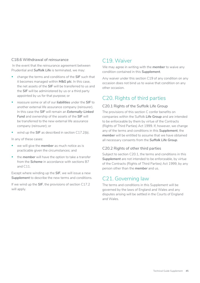#### <span id="page-44-0"></span>C18.6 Withdrawal of reinsurance

In the event that the reinsurance agreement between Prudential and *Suffolk Life* is terminated, we may:

- change the terms and conditions of the *SIF* such that it becomes managed within *M&G plc*. In this case, the net assets of the *SIF* will be transferred to us and the *SIF* will be administered by us or a third party appointed by us for that purpose; or
- reassure some or all of our *liabilities* under the *SIF* to another external life assurance company (reinsurer). In this case the *SIF* will remain an *Externally-Linked Fund* and ownership of the assets of the *SIF* will be transferred to the new external life assurance company (reinsurer); or
- wind up the **SIF** as described in section C17.2(b).

In any of these cases:

- we will give the *member* as much notice as is practicable given the circumstances; and
- the *member* will have the option to take a transfer from the **Scheme** in accordance with sections B7 and  $C11$ .

Except where winding up the *SIF*, we will issue a new *Supplement* to describe the new terms and conditions.

If we wind up the *SIF*, the provisions of section C17.2 will apply.

# C<sub>19</sub> Waiver

We may agree in writing with the *member* to waive any condition contained in this *Supplement*.

Any waiver under this section C19 of any condition on any occasion does not bind us to waive that condition on any other occasion.

# C20. Rights of third parties

#### C20.1 Rights of the Suffolk Life Group

The provisions of this section C confer benefits on companies within the Suffolk *Life Group* and are intended to be enforceable by them by virtue of the Contracts (Rights of Third Parties) Act 1999. If, however, we change any of the terms and conditions in this *Supplement*, the *member* will be entitled to assume that we have obtained all necessary consents from the *Suffolk Life Group*.

#### C20.2 Rights of other third parties

Subject to section C20.1, the terms and conditions in this *Supplement* are not intended to be enforceable, by virtue of the Contracts (Rights of Third Parties) Act 1999, by any person other than the *member* and us.

# C21. Governing law

The terms and conditions in this Supplement will be governed by the laws of England and Wales and any disputes arising will be settled in the Courts of England and Wales.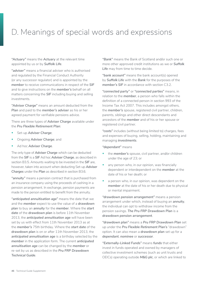# <span id="page-45-0"></span>D. Meanings of special words and expressions

*"Actuary"* means the *Actuary* at the relevant time appointed by us or by *Suffolk Life*.

*"adviser"* means a financial adviser who is authorised and regulated by the Financial Conduct Authority (or any successor regulator) and is appointed by the *member* to receive communications in respect of the *SIF*  and to give instructions on the *member's* behalf on all matters concerning the *SIF* including buying and selling investments.

*"Adviser Charge"* means an amount deducted from the **Plan** and paid to the **member's adviser** as his or her agreed payment for verifiable pensions advice.

There are three types of *Adviser Charge* available under the *Pru Flexible Retirement Plan*:

- Set-up *Adviser Charge*;
- Ongoing *Adviser Charge*; and
- Ad hoc *Adviser Charge*.

The only type of *Adviser Charge* which can be deducted from the *SIF* is a *SIF* Ad hoc *Adviser Charge*, as described in section B3.5. Amounts waiting to be invested in the *SIF* are, however, taken into account when deducting Set-up *Adviser Charges* under the *Plan* as described in section B3.6.

*"annuity"* means a pension contract that is purchased from an insurance company using the proceeds of cashing in a pension arrangement. In exchange, pension payments are made to the person entitled to benefit from the annuity.

*"anticipated annuitisation age"* means the date that we and the *member* expect to use the value of a *drawdown plan* to buy an *annuity* for the *member*. Where the *start date* of the *drawdown plan* is before 11th November 2013, the *anticipated annuitisation age* will have been set by us with effect from 11th November 2013 as at the *member's* 75th birthday. Where the *start date* of the *drawdown plan* is on or after 11th November 2013, the *anticipated annuitisation age* is a birthday selected by the *member* in the application form. The current *anticipated annuitisation age* can be changed by the *member* or re-set by us as described in the *Pru FRP Drawdown Technical Guide*.

*"Bank"* means the Bank of Scotland and/or such one or more other approved credit institutions as we or *Suffolk Life* may from time to time decide.

*"bank account"* means the bank account(s) opened by *Suffolk Life* with the *Bank* for the purposes of the *member's SIF* in accordance with section C3.2.

*"connected party"* or *"connected parties"* means, in relation to the *member*, a person who falls within the definition of a connected person in section 993 of the Income Tax Act 2007. This includes amongst others, the *member's* spouse, registered civil partner, children, parents, siblings and other direct descendants and ancestors of the *member* and of his or her spouse or registered civil partner.

*"costs"* includes (without being limited to) charges, fees and expenses of buying, selling, holding, maintaining and managing *investments*.

#### *"dependant"* means

- the *member's* spouse, civil partner, and/or children under the age of 23; or
- any person who, in our opinion, was financially dependent or interdependent on the *member* at the date of his or her death; or
- a person who, in our opinion, was dependent on the *member* at the date of his or her death due to physical or mental impairment.

*"drawdown pension arrangement"* means a pension arrangement under which, instead of buying an *annuity*, the individual can opt to withdraw income from the pension savings. *The Pru FRP Drawdown Plan* is a *drawdown pension arrangement*.

*"drawdown plan"* means a *Pru FRP Drawdown Plan* set up under the *Pru Flexible Retirement Plan's* "drawdown" option. It can also mean a *drawdown plan* set up for a *dependant*, *nominee* or *successor*.

*"Externally-Linked Funds"* means *funds* that either invest in funds operated and owned by managers of collective investment schemes (such as unit trusts and OEICs) operating outside *M&G plc*, or which are linked to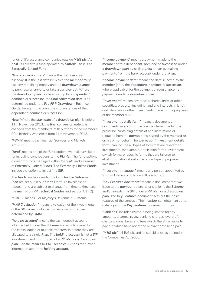funds of life assurance companies outside *M&G plc*. As a *SIF* is linked to a fund operated by *Suffolk Life* it is an *Externally-Linked Fund*.

*"final conversion date"* means the *member's* 99th birthday. It is the last date by which the *member* must use any remaining money under a *drawdown plan(s)*  to purchase an *annuity* or take a transfer-out. Where the *drawdown plan* has been set up for a *dependant*, *nominee* or *successor*, the *final conversion date* is as determined under the *Pru FRP Drawdown Technical Guide*, taking into account the circumstances of that *dependant*, *nominee* or *successor*.

**Note**: Where the *start date* of a *drawdown plan* is before 11th November 2013, the *final conversion date* was changed from the *member's* 75th birthday to the *member's*  99th birthday with effect from 11th November 2013.

*"FSMA"* means the Financial Services and Markets Act 2000.

*"fund"* means one of the *fund* options we make available for investing contributions to the *Plan(s)*. The *fund* options consist of *funds* managed within *M&G plc* and a number of *Externally-Linked Funds*. The *Externally-Linked Funds*  include the option to invest in a *SIF*.

The *funds* available under the *Pru Flexible Retirement Plan* are set out in our *funds* literature (available on request) and are subject to change from time to time (see the *main Pru FRP Technical Guides* and section C17.2).

*"HMRC"* means Her Majesty's Revenue & Customs.

*"HMRC valuation"* means a valuation of the investments of the *SIF* carried out in accordance with principles determined by *HMRC*.

*"holding account"* means the cash deposit account which is held under the *Scheme* and which is used for the consolidation of multiple transfers-in before they are allocated to a single *Plan*. The *holding account* is not a *SIF*  investment, and it is not part of a *PP plan* or a *drawdown plan*. See the *main Pru FRP Technical Guides* for further information about the *holding account*.

*"income payment"* means a payment made to the *member* or to a *dependant*, *nominee* or *successor*, under a *drawdown plan* by selling *units* and/or by making payments from the *bank account* under that *Plan.*

*"income payment date"* means the date selected by the *member* (or by the *dependant*, *nominee* or *successor*, where applicable) for the payment of regular *income payments* under a *drawdown plan*.

*"investment"* means any stocks, shares, *units* or other securities, property (including land and interests in land), cash deposits or other investments made for the purposes of the *member's SIF*.

*"investment details form"* means a document or documents, in such form as we may from time to time prescribe, containing details of and instructions or requests from the *member* and signed by the *member* or on his or her behalf. The expression "*investment details form*" can include all types of form that are relevant to investments, for example, application forms, investment switch forms, or specific forms that are tailored to elicit information about a particular type of proposed investment.

*"investment manager"* means any person appointed by **Suffolk Life** in accordance with section C6.

*"Key Features document"* means a document that we issue to the *member* before he or she joins the *Scheme*  and/or invests in a *SIF* under a *PP plan* or a *drawdown plan*. The *Key Features document* sets out the basic features of the contract. The *member* can obtain an up to date copy of the *Key Features document* from us.

*"liabilities"* includes (without being limited to) any amounts, charges, *costs*, banking charges, overdraft charges, loans, taxes and fees which the *SIF* is liable to pay but which have not at the relevant date been paid.

*"M&G plc"* is M&G plc and its subsidiaries as defined in the Companies Act 2006.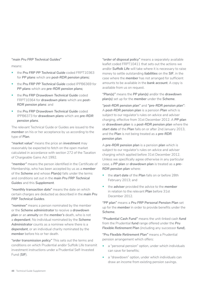#### *"main Pru FRP Technical Guides"*

means:

- the *Pru FRP PP Technical Guide* coded FRPT10363 for *PP plans* which are *post-RDR pension plans;*
- the *Pru FRP PP Technical Guide* coded IPPB6369 for *PP plans* which are *pre-RDR pension plans;*
- the *Pru FRP Drawdown Technical Guide* coded FRPT10364 for *drawdown plans* which are *post-RDR pension plans*: and
- the *Pru FRP Drawdown Technical Guide* coded IPPB6373 for *drawdown plans* which are *pre-RDR pension plans*.

The relevant Technical Guide or Guides are issued to the *member* on his or her acceptance by us according to the type of *Plan*.

*"market value"* means the price an *investment* may reasonably be expected to fetch on the open market calculated in accordance with section 272 of the Taxation of Chargeable Gains Act 1992.

*"member"* means the person identified in the Certificate of Membership, who has been accepted by us as a *member*  of the *Scheme* and whose *Plan(s)* falls under the terms and conditions set out in the *main Pru FRP Technical Guides* and this *Supplement*.

*"monthly transaction date"* means the date on which certain charges are deducted as described in the *main Pru FRP Technical Guides*.

*"nominee"* means a person nominated by the member or the *Scheme administrator* to receive a *drawdown plan* or an *annuity* on the *member's* death, who is not a *dependant*. No individual nominated by the *Scheme Administrator* counts as a nominee where there is a *dependant*, or an individual charity nominated by the *member* before his or her death.

*"order transmission policy"* This sets out the terms and conditions on which Prudential and/or Suffolk Life transmit investment instructions under a Prudential Self-Invested Fund (*SIF*).

*"order of disposal policy"* means a separately available leaflet coded FRPT10411 that sets out the actions we and/or *Suffolk Life* will take where it is necessary to raise money to settle outstanding *liabilities* on the *SIF*, in the case where the *member* has not arranged for sufficient amounts to be available in the *bank account*. A copy is available from us on request.

*"Plan(s)"* means the *PP plan(s)* and/or the *drawdown plan(s)* set up for the *member* under the *Scheme*.

*"post-RDR pension plan"* and *"pre-RDR pension plan"*: A *post-RDR pension plan* is a pension *Plan* which is subject to our regulator's rules on advice and adviser charging, effective from 31st December 2012. A *PP plan*  or *drawdown plan* is a *post-RDR pension plan* where the *start date* of the *Plan* falls on or after 2nd January 2013, and the *Plan* is not being treated as a *pre-RDR pension plan*.

A *pre-RDR pension plan* is a pension *plan* which is subject to our regulator's rules on advice and adviser charging which applied before 31st December 2012. Unless we specifically agree otherwise in any particular case, a *PP plan* or *drawdown plan* is treated as a *pre-RDR pension plan* where:

- the *start date* of the *Plan* falls on or before 28th February 2013; and
- the *adviser* provided the advice to the *member*  in relation to the relevant *Plan* before 31st December 2012.

*"PP plan"* means a *Pru FRP Personal Pension Plan* set up for the *member* in order to provide benefits under the *Scheme*.

*"Prudential Cash Fund"* means the unit-linked cash *fund*  from the Prudential *fund* range offered under the *Pru Flexible Retirement Plan* (including any successor *fund*).

*"Pru Flexible Retirement Plan"* means a Prudential pension arrangement which offers:

- a "personal pension" option, under which individuals can save for benefits;
- a "drawdown" option, under which individuals can draw an income from existing pension savings.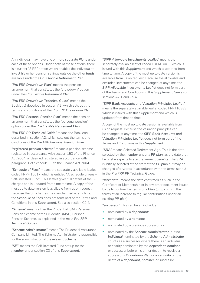An individual may have one or more separate *Plans* under each of these options. Under both of these options, there is a further "SIPP" option which enables the individual to invest his or her pension savings outside the other *funds*  available under the *Pru Flexible Retirement Plan*.

*"Pru FRP Drawdown Plan"* means the pension arrangement that constitutes the "drawdown" option under the *Pru Flexible Retirement Plan*.

*"Pru FRP Drawdown Technical Guide"* means the Booklet(s) described in section A2, which sets out the terms and conditions of the *Pru FRP Drawdown Plan*.

*"Pru FRP Personal Pension Plan"* means the pension arrangement that constitutes the "personal pension" option under the *Pru Flexible Retirement Plan*.

*"Pru FRP PP Technical Guide"* means the Booklet(s) described in section A2, which sets out the terms and conditions of the *Pru FRP Personal Pension Plan*.

*"registered pension scheme"* means a pension scheme registered in accordance with section 153 of the Finance Act 2004, or deemed registered in accordance with paragraph 1 of Schedule 36 to the Finance Act 2004.

*"Schedule of Fees"* means the separately available leaflet coded FRPM10017 which is entitled "A schedule of fees – Self-Invested Fund". This leaflet gives full details of the *SIF*  charges and is updated from time to time. A copy of the most up to date version is available from us on request. Because the *SIF* charges may be changed at any time, the *Schedule of Fees* does not form part of the Terms and Conditions in this *Supplement*. See also section C9.4.

*"Scheme"* means either the Prudential (SAL) Personal Pension Scheme or the Prudential (M&G) Personal Pension Scheme, as explained in the *main Pru FRP Technical Guides*.

*"Scheme Administrator"* means The Prudential Assurance Company Limited. The Scheme Administrator is responsible for the administration of the relevant *Scheme*.

*"SIF"* means the Self-Invested Fund set up for the *member* under section C3 of this *Supplement*.

*"SIPP Allowable Investments Leaflet"* means the separately available leaflet coded FRPM10011 which is issued with this *Supplement* and which is updated from time to time. A copy of the most up to date version is available from us on request. Because the allowable and excluded investments can be changed at any time, the *SIPP Allowable Investments Leaflet* does not form part of the Terms and Conditions in this *Supplement*. See also sections A7.1 and C5.4.

*"SIPP Bank Accounts and Valuation Principles Leaflet"*  means the separately available leaflet coded FRPT10383 which is issued with this *Supplement* and which is updated from time to time.

A copy of the most up to date version is available from us on request. Because the valuation principles can be changed at any time, the *SIPP Bank Accounts and Valuation Principles Leaflet* does not form part of the Terms and Conditions in this *Supplement*.

*"SRA"* means Selected Retirement Age. This is the date selected by the *member* under a *PP plan*, as the date that he or she expects to start retirement benefits. The *SRA*  is initially selected at the start of the *PP plan* but may be changed afterwards in accordance with the terms set out in the *Pru FRP PP Technical Guide*.

*"start date*" means the date confirmed as such in the Certificate of Membership or in any other document issued by us to confirm the terms of a *Plan* (or to confirm the terms of an increase to regular contributions under an existing *PP plan*).

*"successor"* This can be an individual:

- nominated by a *dependant*;
- nominated by a *nominee*;
- nominated by a previous successor; or
- nominated by the *Scheme Administrator* (but no *individual* nominated by the *Scheme Administrator*  counts as a successor where there is an individual or charity nominated by the *dependant*, *nominee*  or successor before his or her death), to receive a successor's *Drawdown Plan* or an *annuity* on the death of a *dependant*, *nominee* or successor.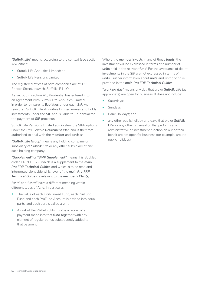*"Suffolk Life*" means, according to the context (see section A5), either:

- Suffolk Life Annuities Limited; or
- Suffolk Life Pensions Limited.

The registered offices of both companies are at 153 Princes Street, Ipswich, Suffolk, IP1 1QJ.

As set out in section A5, Prudential has entered into an agreement with Suffolk Life Annuities Limited in order to reinsure its *liabilities* under each *SIF*. As reinsurer, Suffolk Life Annuities Limited makes and holds investments under the *SIF* and is liable to Prudential for the payment of *SIF* proceeds.

Suffolk Life Pensions Limited administers the SIPP options under the *Pru Flexible Retirement Plan* and is therefore authorised to deal with the *member* and *adviser*.

*"Suffolk Life Group*" means any holding company or subsidiary of *Suffolk Life* or any other subsidiary of any such holding company.

*"Supplement"* or *"SIPP Supplement"* means this Booklet coded FRPT10379, which is a supplement to the *main Pru FRP Technical Guides* and which is to be read and interpreted alongside whichever of the *main Pru FRP Technical Guides* is relevant to the *member's Plan(s)*.

*"unit"* and *"units"* have a different meaning within different types of *fund*. In particular:

- The value of each Unit-Linked Fund, each PruFund Fund and each PruFund Account is divided into equal parts, and each part is called a *unit.*
- A *unit* of the With-Profits Fund is a record of a payment made into that *fund* together with any element of regular bonus subsequently added to that payment.

Where the *member* invests in any of these *funds*, the investment will be expressed in terms of a number of *units* held in the relevant *fund*. For the avoidance of doubt, investments in the *SIF* are not expressed in terms of *units*. Further information about *units* and *unit* pricing is provided in the *main Pru FRP Technical Guides*.

*"working day"* means any day that we or *Suffolk Life* (as appropriate) are open for business. It does not include:

- Saturdays;
- Sundays;
- Bank Holidays; and
- any other public holiday and days that we or *Suffolk Life*, or any other organisation that performs any administrative or investment function on our or their behalf are not open for business (for example, around public holidays).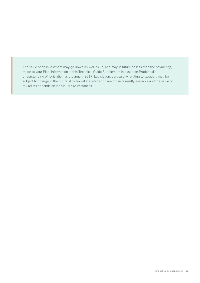The value of an investment may go down as well as up, and may in future be less than the payment(s) made to your Plan. Information in this Technical Guide Supplement is based on Prudential's understanding of legislation as at January 2017. Legislation, particularly relating to taxation, may be subject to change in the future. Any tax reliefs referred to are those currently available and the value of tax reliefs depends on individual circumstances.